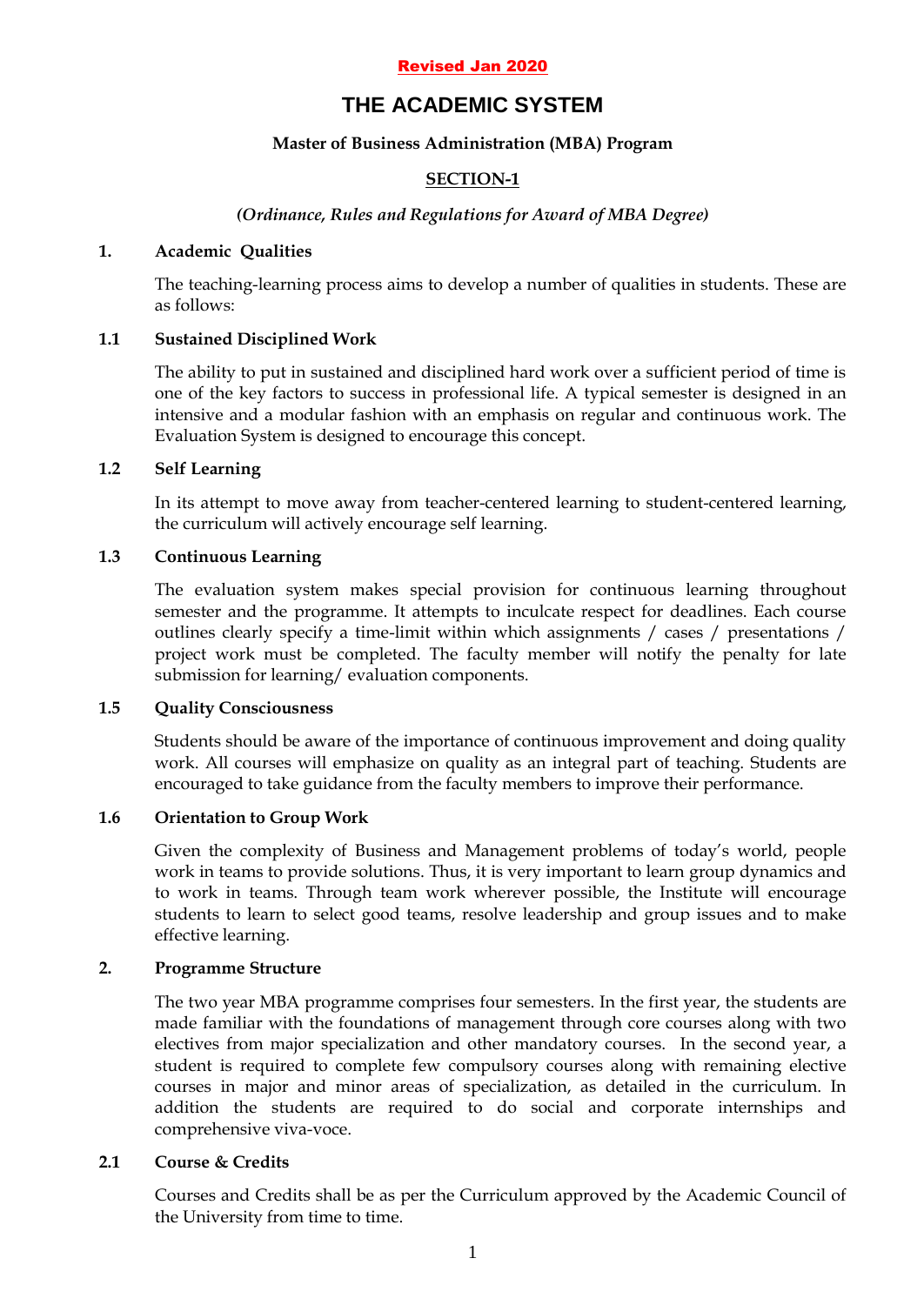#### Revised Jan 2020

# **THE ACADEMIC SYSTEM**

### **Master of Business Administration (MBA) Program**

# **SECTION-1**

### *(Ordinance, Rules and Regulations for Award of MBA Degree)*

#### **1. Academic Qualities**

The teaching-learning process aims to develop a number of qualities in students. These are as follows:

### **1.1 Sustained Disciplined Work**

The ability to put in sustained and disciplined hard work over a sufficient period of time is one of the key factors to success in professional life. A typical semester is designed in an intensive and a modular fashion with an emphasis on regular and continuous work. The Evaluation System is designed to encourage this concept.

#### **1.2 Self Learning**

In its attempt to move away from teacher-centered learning to student-centered learning, the curriculum will actively encourage self learning.

#### **1.3 Continuous Learning**

The evaluation system makes special provision for continuous learning throughout semester and the programme. It attempts to inculcate respect for deadlines. Each course outlines clearly specify a time-limit within which assignments / cases / presentations / project work must be completed. The faculty member will notify the penalty for late submission for learning/ evaluation components.

#### **1.5 Quality Consciousness**

Students should be aware of the importance of continuous improvement and doing quality work. All courses will emphasize on quality as an integral part of teaching. Students are encouraged to take guidance from the faculty members to improve their performance.

### **1.6 Orientation to Group Work**

Given the complexity of Business and Management problems of today"s world, people work in teams to provide solutions. Thus, it is very important to learn group dynamics and to work in teams. Through team work wherever possible, the Institute will encourage students to learn to select good teams, resolve leadership and group issues and to make effective learning.

#### **2. Programme Structure**

The two year MBA programme comprises four semesters. In the first year, the students are made familiar with the foundations of management through core courses along with two electives from major specialization and other mandatory courses. In the second year, a student is required to complete few compulsory courses along with remaining elective courses in major and minor areas of specialization, as detailed in the curriculum. In addition the students are required to do social and corporate internships and comprehensive viva-voce.

#### **2.1 Course & Credits**

Courses and Credits shall be as per the Curriculum approved by the Academic Council of the University from time to time.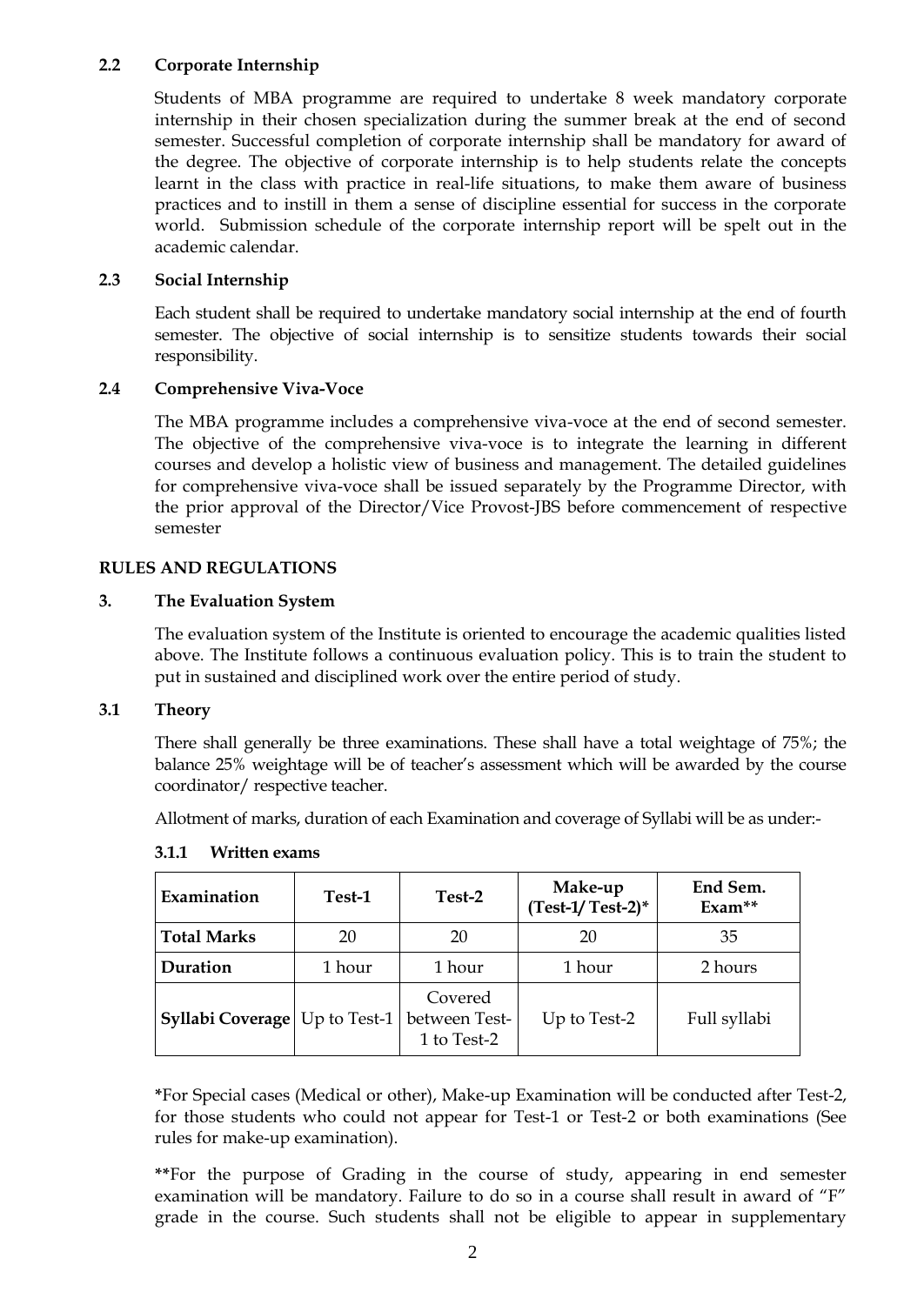### **2.2 Corporate Internship**

Students of MBA programme are required to undertake 8 week mandatory corporate internship in their chosen specialization during the summer break at the end of second semester. Successful completion of corporate internship shall be mandatory for award of the degree. The objective of corporate internship is to help students relate the concepts learnt in the class with practice in real-life situations, to make them aware of business practices and to instill in them a sense of discipline essential for success in the corporate world. Submission schedule of the corporate internship report will be spelt out in the academic calendar.

## **2.3 Social Internship**

Each student shall be required to undertake mandatory social internship at the end of fourth semester. The objective of social internship is to sensitize students towards their social responsibility.

## **2.4 Comprehensive Viva-Voce**

The MBA programme includes a comprehensive viva-voce at the end of second semester. The objective of the comprehensive viva-voce is to integrate the learning in different courses and develop a holistic view of business and management. The detailed guidelines for comprehensive viva-voce shall be issued separately by the Programme Director, with the prior approval of the Director/Vice Provost-JBS before commencement of respective semester

## **RULES AND REGULATIONS**

### **3. The Evaluation System**

The evaluation system of the Institute is oriented to encourage the academic qualities listed above. The Institute follows a continuous evaluation policy. This is to train the student to put in sustained and disciplined work over the entire period of study.

### **3.1 Theory**

There shall generally be three examinations. These shall have a total weightage of 75%; the balance 25% weightage will be of teacher"s assessment which will be awarded by the course coordinator/ respective teacher.

Allotment of marks, duration of each Examination and coverage of Syllabi will be as under:-

| Examination        | Test-1       | Test-2                                  | Make-up<br>$(Test-1/Test-2)^*$ | End Sem.<br>$Exam**$ |
|--------------------|--------------|-----------------------------------------|--------------------------------|----------------------|
| <b>Total Marks</b> | 20           | 20                                      | 20                             | 35                   |
| Duration           | 1 hour       | 1 hour                                  | 1 hour                         | 2 hours              |
| Syllabi Coverage   | Up to Test-1 | Covered<br>between Test-<br>1 to Test-2 | Up to Test-2                   | Full syllabi         |

### **3.1.1 Written exams**

**\***For Special cases (Medical or other), Make-up Examination will be conducted after Test-2, for those students who could not appear for Test-1 or Test-2 or both examinations (See rules for make-up examination).

**\*\***For the purpose of Grading in the course of study, appearing in end semester examination will be mandatory. Failure to do so in a course shall result in award of "F" grade in the course. Such students shall not be eligible to appear in supplementary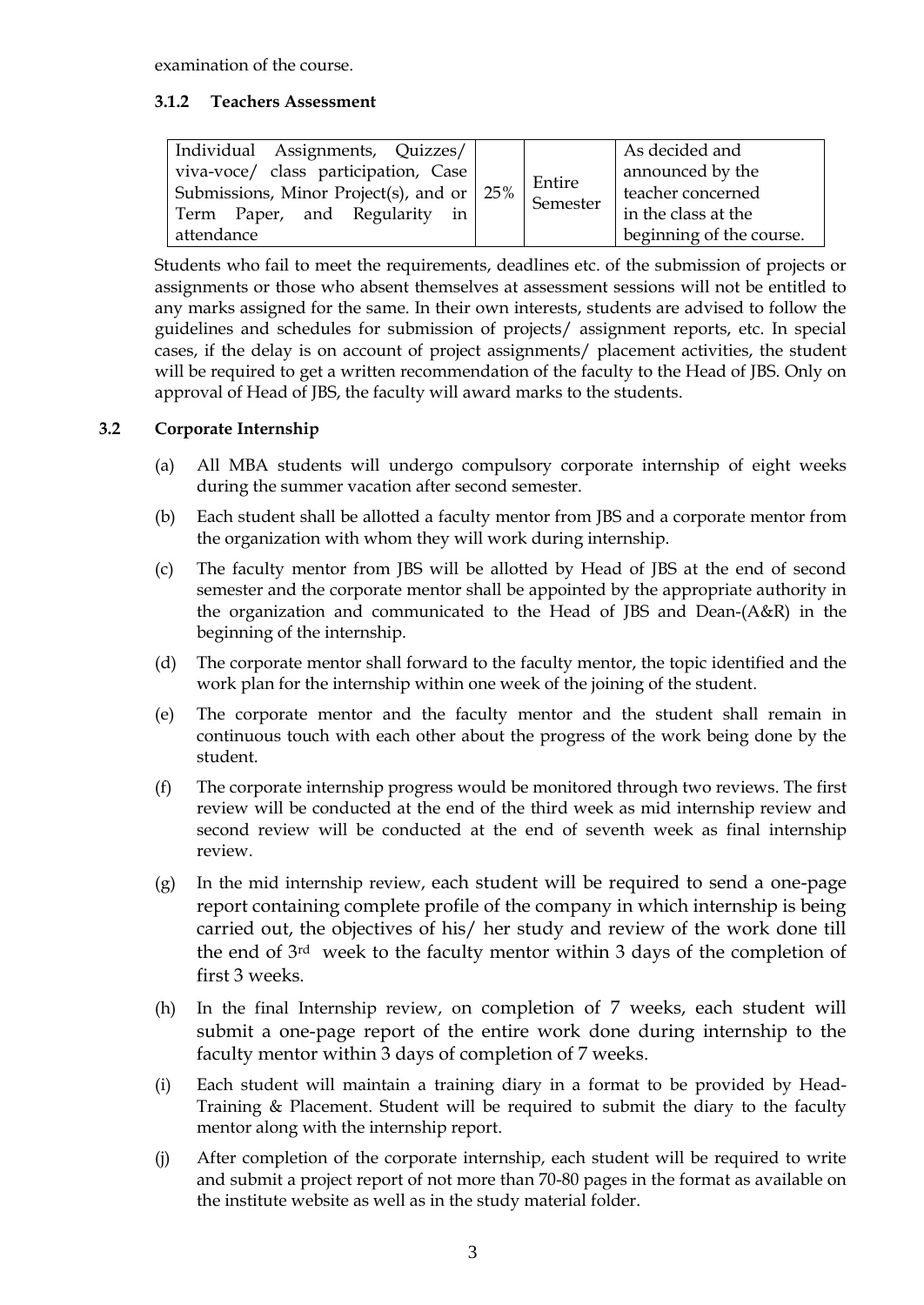examination of the course.

## **3.1.2 Teachers Assessment**

Students who fail to meet the requirements, deadlines etc. of the submission of projects or assignments or those who absent themselves at assessment sessions will not be entitled to any marks assigned for the same. In their own interests, students are advised to follow the guidelines and schedules for submission of projects/ assignment reports, etc. In special cases, if the delay is on account of project assignments/ placement activities, the student will be required to get a written recommendation of the faculty to the Head of JBS. Only on approval of Head of JBS, the faculty will award marks to the students.

# **3.2 Corporate Internship**

- (a) All MBA students will undergo compulsory corporate internship of eight weeks during the summer vacation after second semester.
- (b) Each student shall be allotted a faculty mentor from JBS and a corporate mentor from the organization with whom they will work during internship.
- (c) The faculty mentor from JBS will be allotted by Head of JBS at the end of second semester and the corporate mentor shall be appointed by the appropriate authority in the organization and communicated to the Head of JBS and Dean-(A&R) in the beginning of the internship.
- (d) The corporate mentor shall forward to the faculty mentor, the topic identified and the work plan for the internship within one week of the joining of the student.
- (e) The corporate mentor and the faculty mentor and the student shall remain in continuous touch with each other about the progress of the work being done by the student.
- (f) The corporate internship progress would be monitored through two reviews. The first review will be conducted at the end of the third week as mid internship review and second review will be conducted at the end of seventh week as final internship review.
- (g) In the mid internship review, each student will be required to send a one-page report containing complete profile of the company in which internship is being carried out, the objectives of his/ her study and review of the work done till the end of 3rd week to the faculty mentor within 3 days of the completion of first 3 weeks.
- (h) In the final Internship review, on completion of 7 weeks, each student will submit a one-page report of the entire work done during internship to the faculty mentor within 3 days of completion of 7 weeks.
- (i) Each student will maintain a training diary in a format to be provided by Head-Training & Placement. Student will be required to submit the diary to the faculty mentor along with the internship report.
- (j) After completion of the corporate internship, each student will be required to write and submit a project report of not more than 70-80 pages in the format as available on the institute website as well as in the study material folder.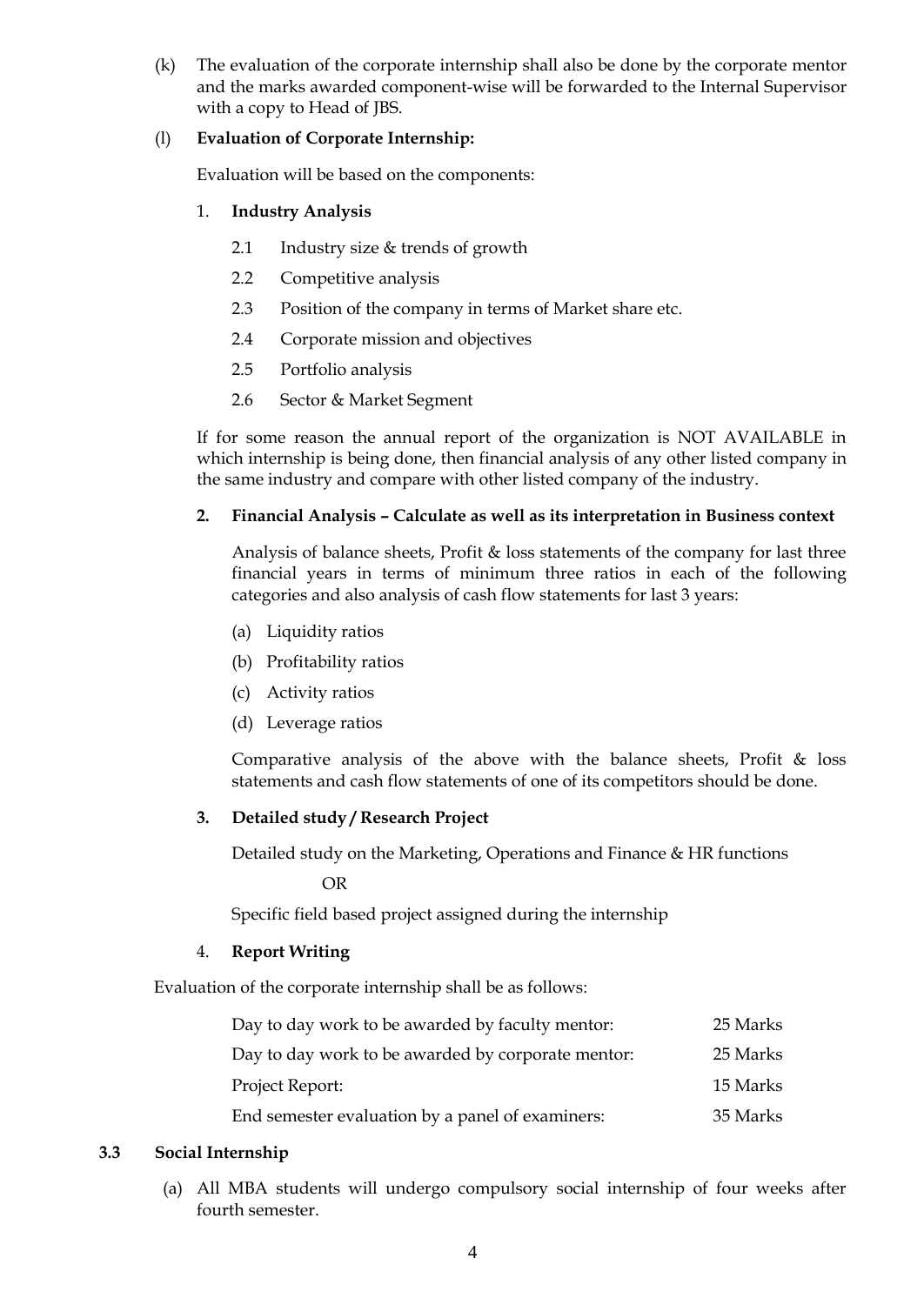(k) The evaluation of the corporate internship shall also be done by the corporate mentor and the marks awarded component-wise will be forwarded to the Internal Supervisor with a copy to Head of JBS.

## (l) **Evaluation of Corporate Internship:**

Evaluation will be based on the components:

## 1. **Industry Analysis**

- 2.1 Industry size & trends of growth
- 2.2 Competitive analysis
- 2.3 Position of the company in terms of Market share etc.
- 2.4 Corporate mission and objectives
- 2.5 Portfolio analysis
- 2.6 Sector & Market Segment

If for some reason the annual report of the organization is NOT AVAILABLE in which internship is being done, then financial analysis of any other listed company in the same industry and compare with other listed company of the industry.

## **2. Financial Analysis – Calculate as well as its interpretation in Business context**

Analysis of balance sheets, Profit & loss statements of the company for last three financial years in terms of minimum three ratios in each of the following categories and also analysis of cash flow statements for last 3 years:

- (a) Liquidity ratios
- (b) Profitability ratios
- (c) Activity ratios
- (d) Leverage ratios

Comparative analysis of the above with the balance sheets, Profit  $\&$  loss statements and cash flow statements of one of its competitors should be done.

### **3. Detailed study / Research Project**

Detailed study on the Marketing, Operations and Finance & HR functions

OR

Specific field based project assigned during the internship

### 4. **Report Writing**

Evaluation of the corporate internship shall be as follows:

| Day to day work to be awarded by faculty mentor:   | 25 Marks |
|----------------------------------------------------|----------|
| Day to day work to be awarded by corporate mentor: | 25 Marks |
| Project Report:                                    | 15 Marks |
| End semester evaluation by a panel of examiners:   | 35 Marks |

### **3.3 Social Internship**

(a) All MBA students will undergo compulsory social internship of four weeks after fourth semester.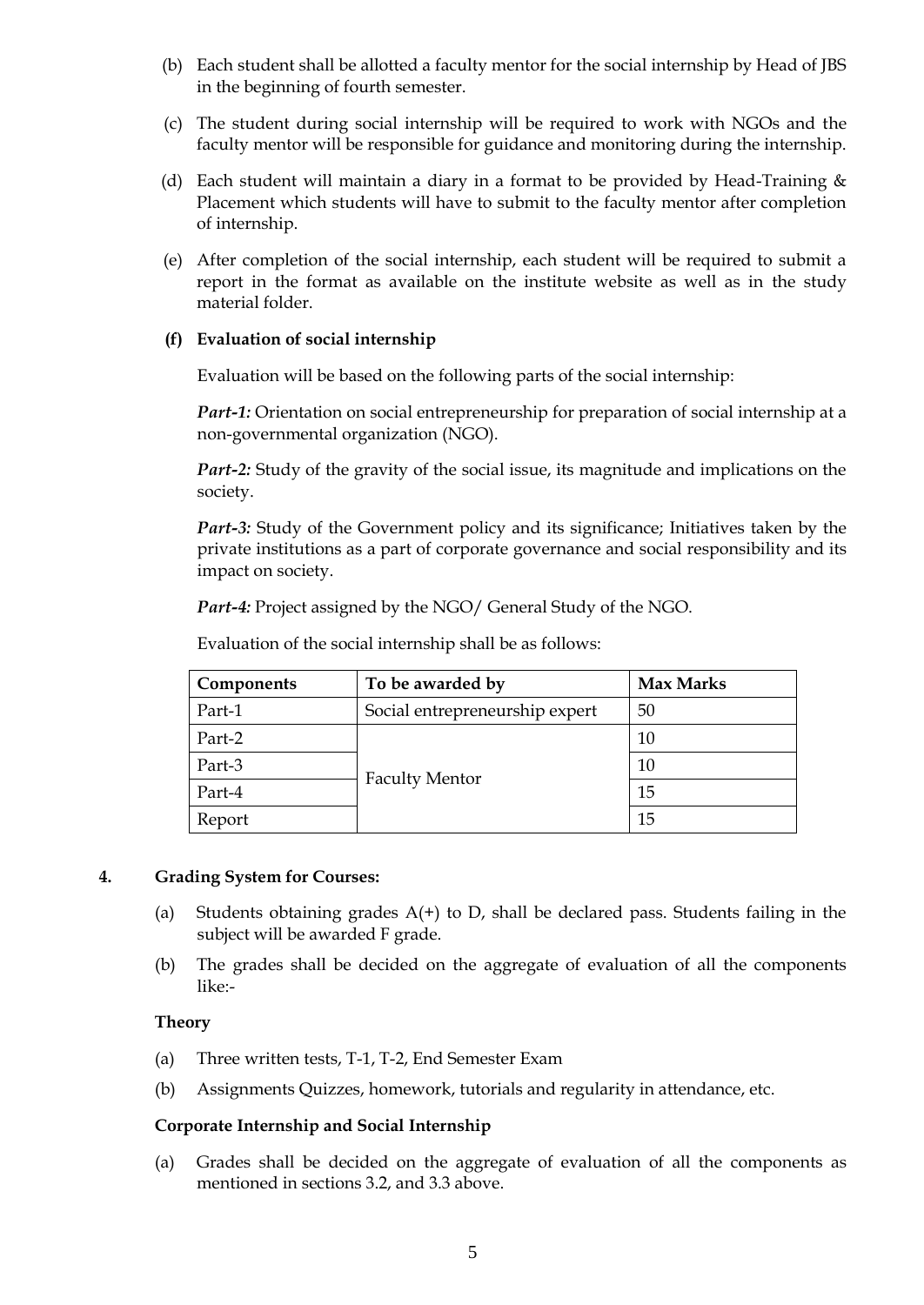- (b) Each student shall be allotted a faculty mentor for the social internship by Head of JBS in the beginning of fourth semester.
- (c) The student during social internship will be required to work with NGOs and the faculty mentor will be responsible for guidance and monitoring during the internship.
- (d) Each student will maintain a diary in a format to be provided by Head-Training & Placement which students will have to submit to the faculty mentor after completion of internship.
- (e) After completion of the social internship, each student will be required to submit a report in the format as available on the institute website as well as in the study material folder.

## **(f) Evaluation of social internship**

Evaluation will be based on the following parts of the social internship:

*Part-1:* Orientation on social entrepreneurship for preparation of social internship at a non-governmental organization (NGO).

*Part-2:* Study of the gravity of the social issue, its magnitude and implications on the society.

Part-3: Study of the Government policy and its significance; Initiatives taken by the private institutions as a part of corporate governance and social responsibility and its impact on society.

*Part-4:* Project assigned by the NGO/ General Study of the NGO.

Evaluation of the social internship shall be as follows:

| Components | To be awarded by               | <b>Max Marks</b> |
|------------|--------------------------------|------------------|
| Part-1     | Social entrepreneurship expert |                  |
| Part-2     |                                | 10               |
| Part-3     |                                | 10               |
| Part-4     | <b>Faculty Mentor</b>          | 15               |
| Report     |                                | 15               |

### **4. Grading System for Courses:**

- (a) Students obtaining grades  $A(+)$  to D, shall be declared pass. Students failing in the subject will be awarded F grade.
- (b) The grades shall be decided on the aggregate of evaluation of all the components like:-

### **Theory**

- (a) Three written tests, T-1, T-2, End Semester Exam
- (b) Assignments Quizzes, homework, tutorials and regularity in attendance, etc.

# **Corporate Internship and Social Internship**

(a) Grades shall be decided on the aggregate of evaluation of all the components as mentioned in sections 3.2, and 3.3 above.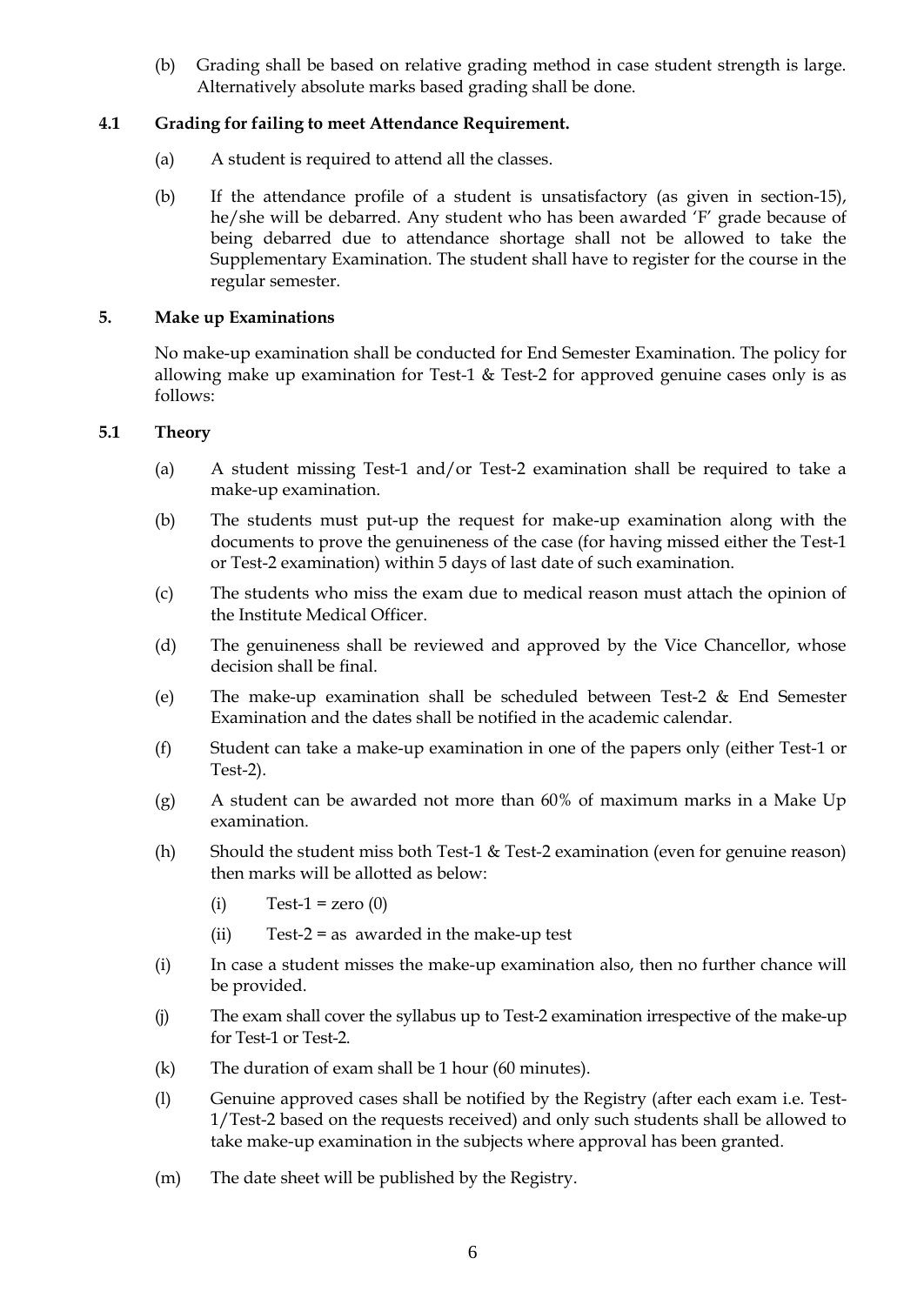(b) Grading shall be based on relative grading method in case student strength is large. Alternatively absolute marks based grading shall be done.

# **4.1 Grading for failing to meet Attendance Requirement.**

- (a) A student is required to attend all the classes.
- (b) If the attendance profile of a student is unsatisfactory (as given in section-15), he/she will be debarred. Any student who has been awarded "F" grade because of being debarred due to attendance shortage shall not be allowed to take the Supplementary Examination. The student shall have to register for the course in the regular semester.

### **5. Make up Examinations**

No make-up examination shall be conducted for End Semester Examination. The policy for allowing make up examination for Test-1 & Test-2 for approved genuine cases only is as follows:

## **5.1 Theory**

- (a) A student missing Test-1 and/or Test-2 examination shall be required to take a make-up examination.
- (b) The students must put-up the request for make-up examination along with the documents to prove the genuineness of the case (for having missed either the Test-1 or Test-2 examination) within 5 days of last date of such examination.
- (c) The students who miss the exam due to medical reason must attach the opinion of the Institute Medical Officer.
- (d) The genuineness shall be reviewed and approved by the Vice Chancellor, whose decision shall be final.
- (e) The make-up examination shall be scheduled between Test-2 & End Semester Examination and the dates shall be notified in the academic calendar.
- (f) Student can take a make-up examination in one of the papers only (either Test-1 or Test-2).
- (g) A student can be awarded not more than 60% of maximum marks in a Make Up examination.
- (h) Should the student miss both Test-1 & Test-2 examination (even for genuine reason) then marks will be allotted as below:
	- $(i)$  Test-1 = zero  $(0)$
	- (ii) Test-2 = as awarded in the make-up test
- (i) In case a student misses the make-up examination also, then no further chance will be provided.
- (j) The exam shall cover the syllabus up to Test-2 examination irrespective of the make-up for Test-1 or Test-2.
- (k) The duration of exam shall be 1 hour (60 minutes).
- (l) Genuine approved cases shall be notified by the Registry (after each exam i.e. Test-1/Test-2 based on the requests received) and only such students shall be allowed to take make-up examination in the subjects where approval has been granted.
- (m) The date sheet will be published by the Registry.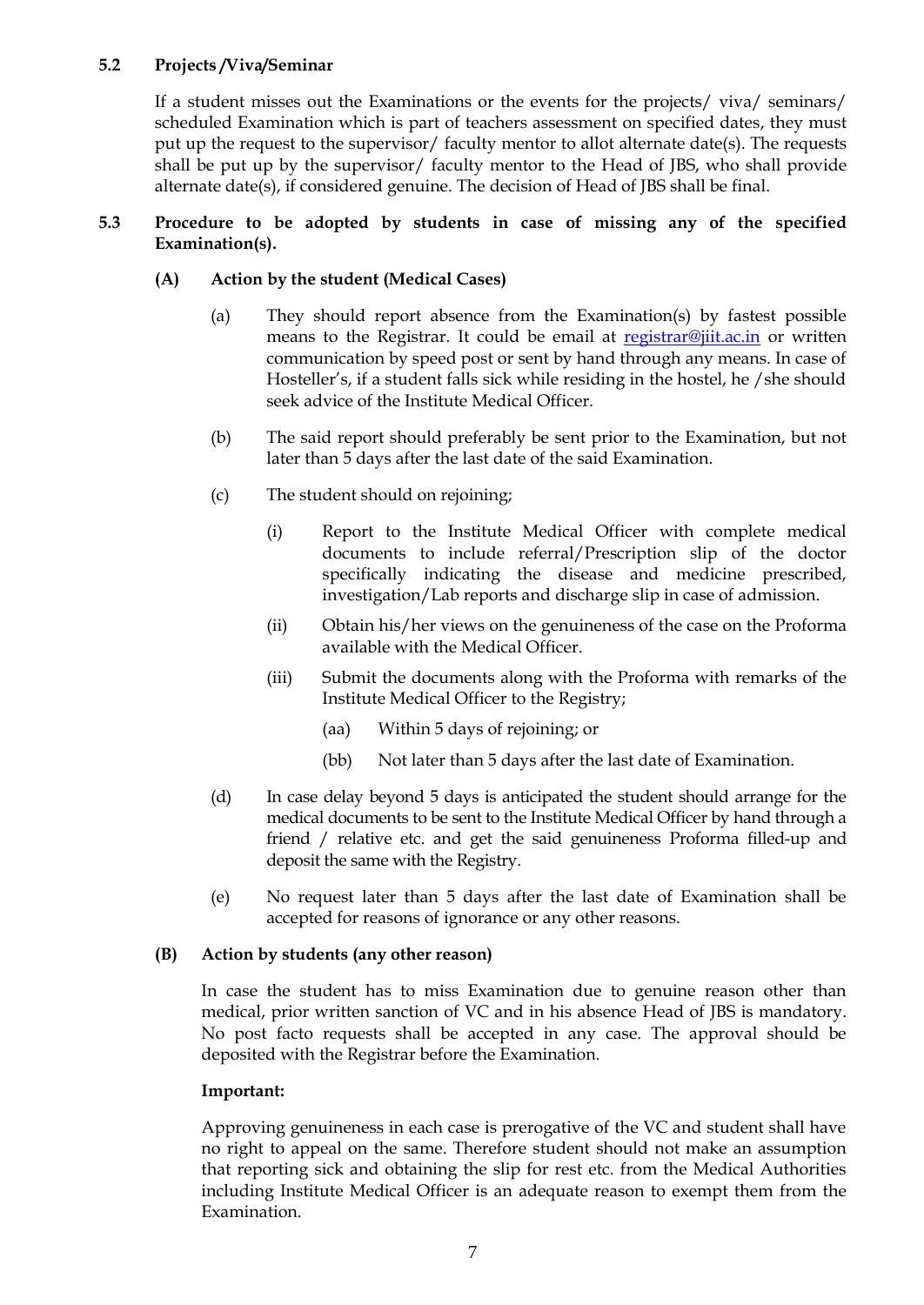# **5.2 Projects /Viva/Seminar**

If a student misses out the Examinations or the events for the projects/ viva/ seminars/ scheduled Examination which is part of teachers assessment on specified dates, they must put up the request to the supervisor/ faculty mentor to allot alternate date(s). The requests shall be put up by the supervisor/ faculty mentor to the Head of JBS, who shall provide alternate date(s), if considered genuine. The decision of Head of JBS shall be final.

### **5.3 Procedure to be adopted by students in case of missing any of the specified Examination(s).**

## **(A) Action by the student (Medical Cases)**

- (a) They should report absence from the Examination(s) by fastest possible means to the Registrar. It could be email at [registrar@jiit.ac.in](mailto:registrar@jiit.ac.in) or written communication by speed post or sent by hand through any means. In case of Hosteller's, if a student falls sick while residing in the hostel, he / she should seek advice of the Institute Medical Officer.
- (b) The said report should preferably be sent prior to the Examination, but not later than 5 days after the last date of the said Examination.
- (c) The student should on rejoining;
	- (i) Report to the Institute Medical Officer with complete medical documents to include referral/Prescription slip of the doctor specifically indicating the disease and medicine prescribed, investigation/Lab reports and discharge slip in case of admission.
	- (ii) Obtain his/her views on the genuineness of the case on the Proforma available with the Medical Officer.
	- (iii) Submit the documents along with the Proforma with remarks of the Institute Medical Officer to the Registry;
		- (aa) Within 5 days of rejoining; or
		- (bb) Not later than 5 days after the last date of Examination.
- (d) In case delay beyond 5 days is anticipated the student should arrange for the medical documents to be sent to the Institute Medical Officer by hand through a friend / relative etc. and get the said genuineness Proforma filled-up and deposit the same with the Registry.
- (e) No request later than 5 days after the last date of Examination shall be accepted for reasons of ignorance or any other reasons.

### **(B) Action by students (any other reason)**

In case the student has to miss Examination due to genuine reason other than medical, prior written sanction of VC and in his absence Head of JBS is mandatory. No post facto requests shall be accepted in any case. The approval should be deposited with the Registrar before the Examination.

### **Important:**

Approving genuineness in each case is prerogative of the VC and student shall have no right to appeal on the same. Therefore student should not make an assumption that reporting sick and obtaining the slip for rest etc. from the Medical Authorities including Institute Medical Officer is an adequate reason to exempt them from the Examination.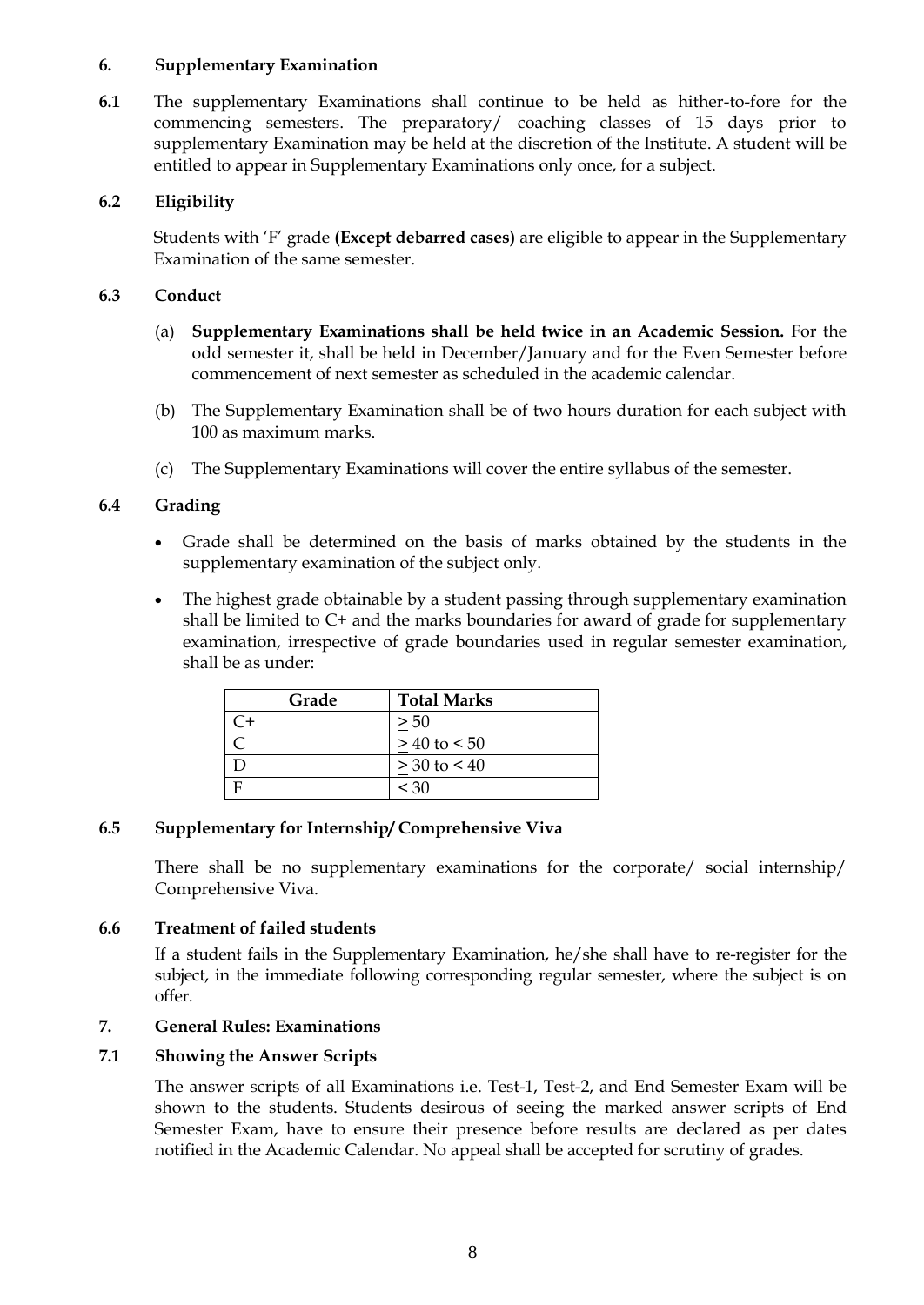### **6. Supplementary Examination**

**6.1** The supplementary Examinations shall continue to be held as hither-to-fore for the commencing semesters. The preparatory/ coaching classes of 15 days prior to supplementary Examination may be held at the discretion of the Institute. A student will be entitled to appear in Supplementary Examinations only once, for a subject.

# **6.2 Eligibility**

Students with "F" grade **(Except debarred cases)** are eligible to appear in the Supplementary Examination of the same semester.

### **6.3 Conduct**

- (a) **Supplementary Examinations shall be held twice in an Academic Session.** For the odd semester it, shall be held in December/January and for the Even Semester before commencement of next semester as scheduled in the academic calendar.
- (b) The Supplementary Examination shall be of two hours duration for each subject with 100 as maximum marks.
- (c) The Supplementary Examinations will cover the entire syllabus of the semester.

## **6.4 Grading**

- Grade shall be determined on the basis of marks obtained by the students in the supplementary examination of the subject only.
- The highest grade obtainable by a student passing through supplementary examination shall be limited to C+ and the marks boundaries for award of grade for supplementary examination, irrespective of grade boundaries used in regular semester examination, shall be as under:

| Grade | <b>Total Marks</b> |
|-------|--------------------|
| ີ+    | > 50               |
|       | $> 40$ to $< 50$   |
|       | $> 30$ to $< 40$   |
|       | $<$ 30             |

### **6.5 Supplementary for Internship/ Comprehensive Viva**

There shall be no supplementary examinations for the corporate/ social internship/ Comprehensive Viva.

### **6.6 Treatment of failed students**

If a student fails in the Supplementary Examination, he/she shall have to re-register for the subject, in the immediate following corresponding regular semester, where the subject is on offer.

### **7. General Rules: Examinations**

### **7.1 Showing the Answer Scripts**

The answer scripts of all Examinations i.e. Test-1, Test-2, and End Semester Exam will be shown to the students. Students desirous of seeing the marked answer scripts of End Semester Exam, have to ensure their presence before results are declared as per dates notified in the Academic Calendar. No appeal shall be accepted for scrutiny of grades.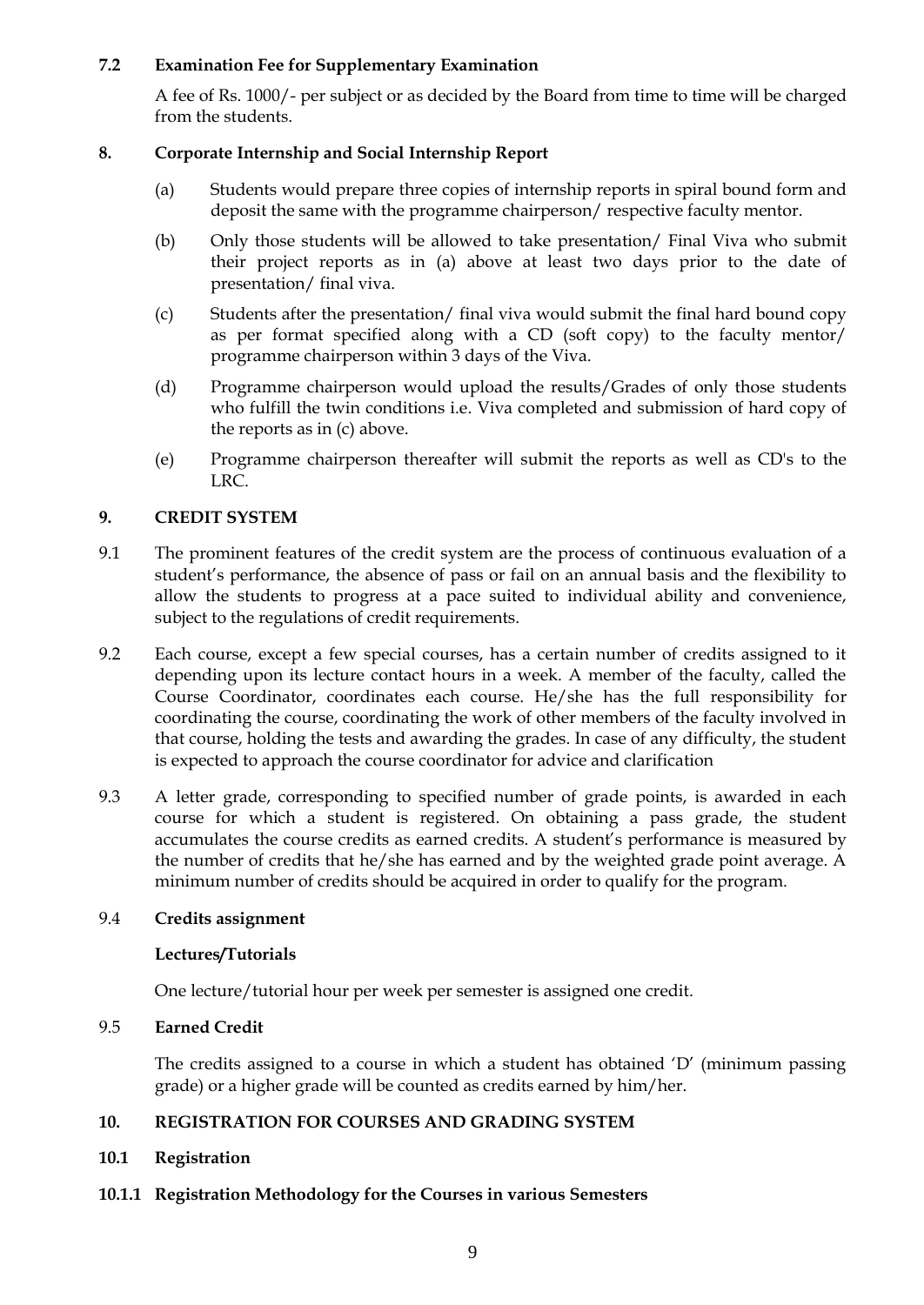## **7.2 Examination Fee for Supplementary Examination**

A fee of Rs. 1000/- per subject or as decided by the Board from time to time will be charged from the students.

### **8. Corporate Internship and Social Internship Report**

- (a) Students would prepare three copies of internship reports in spiral bound form and deposit the same with the programme chairperson/ respective faculty mentor.
- (b) Only those students will be allowed to take presentation/ Final Viva who submit their project reports as in (a) above at least two days prior to the date of presentation/ final viva.
- (c) Students after the presentation/ final viva would submit the final hard bound copy as per format specified along with a CD (soft copy) to the faculty mentor/ programme chairperson within 3 days of the Viva.
- (d) Programme chairperson would upload the results/Grades of only those students who fulfill the twin conditions i.e. Viva completed and submission of hard copy of the reports as in (c) above.
- (e) Programme chairperson thereafter will submit the reports as well as CD's to the LRC.

# **9. CREDIT SYSTEM**

- 9.1 The prominent features of the credit system are the process of continuous evaluation of a student"s performance, the absence of pass or fail on an annual basis and the flexibility to allow the students to progress at a pace suited to individual ability and convenience, subject to the regulations of credit requirements.
- 9.2 Each course, except a few special courses, has a certain number of credits assigned to it depending upon its lecture contact hours in a week. A member of the faculty, called the Course Coordinator, coordinates each course. He/she has the full responsibility for coordinating the course, coordinating the work of other members of the faculty involved in that course, holding the tests and awarding the grades. In case of any difficulty, the student is expected to approach the course coordinator for advice and clarification
- 9.3 A letter grade, corresponding to specified number of grade points, is awarded in each course for which a student is registered. On obtaining a pass grade, the student accumulates the course credits as earned credits. A student"s performance is measured by the number of credits that he/she has earned and by the weighted grade point average. A minimum number of credits should be acquired in order to qualify for the program.

### 9.4 **Credits assignment**

### **Lectures/Tutorials**

One lecture/tutorial hour per week per semester is assigned one credit.

### 9.5 **Earned Credit**

The credits assigned to a course in which a student has obtained  $D'$  (minimum passing grade) or a higher grade will be counted as credits earned by him/her.

### **10. REGISTRATION FOR COURSES AND GRADING SYSTEM**

### **10.1 Registration**

**10.1.1 Registration Methodology for the Courses in various Semesters**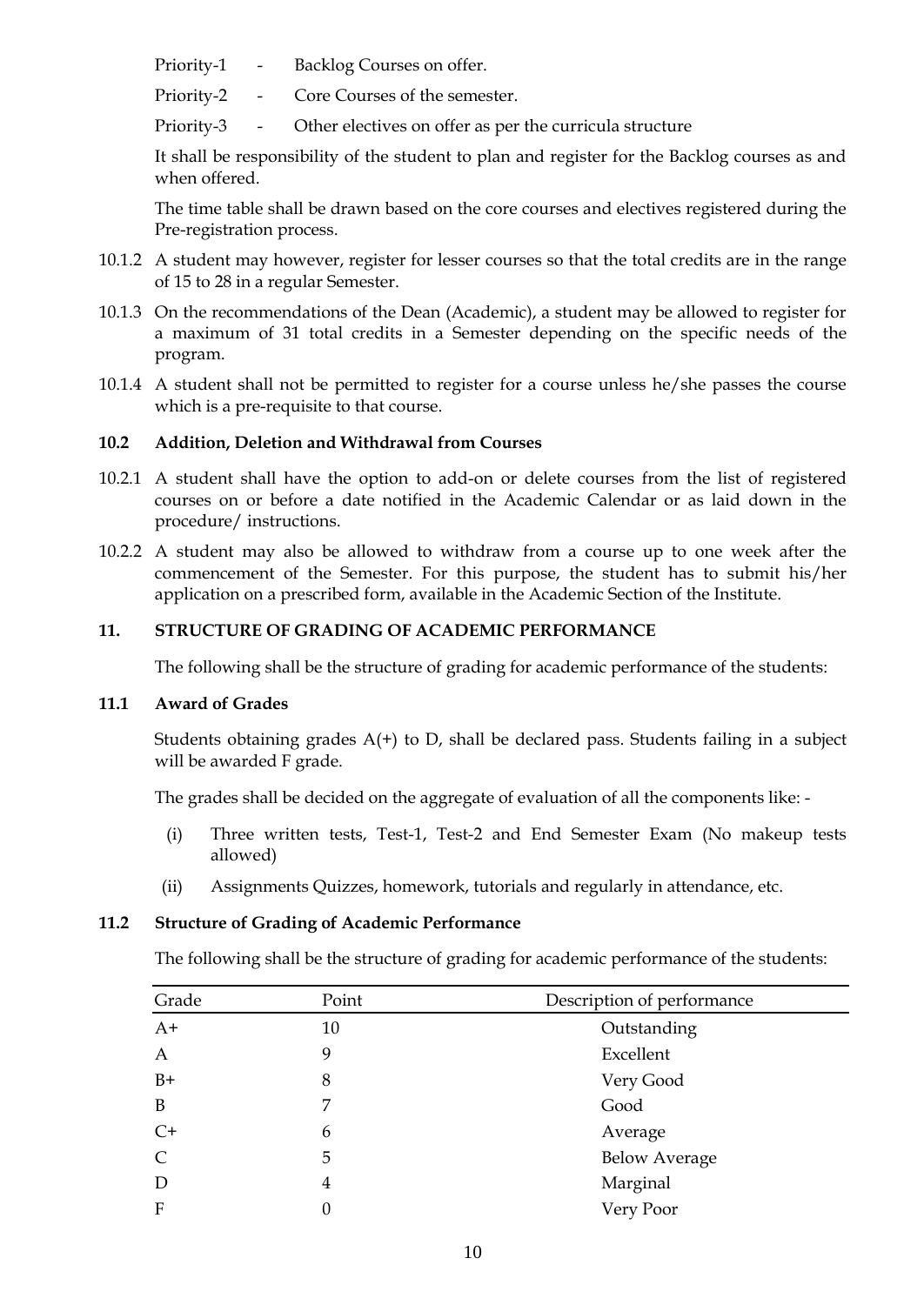- Priority-1 Backlog Courses on offer.
- Priority-2 Core Courses of the semester.
- Priority-3 Other electives on offer as per the curricula structure

It shall be responsibility of the student to plan and register for the Backlog courses as and when offered.

The time table shall be drawn based on the core courses and electives registered during the Pre-registration process.

- 10.1.2 A student may however, register for lesser courses so that the total credits are in the range of 15 to 28 in a regular Semester.
- 10.1.3 On the recommendations of the Dean (Academic), a student may be allowed to register for a maximum of 31 total credits in a Semester depending on the specific needs of the program.
- 10.1.4 A student shall not be permitted to register for a course unless he/she passes the course which is a pre-requisite to that course.

## **10.2 Addition, Deletion and Withdrawal from Courses**

- 10.2.1 A student shall have the option to add-on or delete courses from the list of registered courses on or before a date notified in the Academic Calendar or as laid down in the procedure/ instructions.
- 10.2.2 A student may also be allowed to withdraw from a course up to one week after the commencement of the Semester. For this purpose, the student has to submit his/her application on a prescribed form, available in the Academic Section of the Institute.

## **11. STRUCTURE OF GRADING OF ACADEMIC PERFORMANCE**

The following shall be the structure of grading for academic performance of the students:

### **11.1 Award of Grades**

Students obtaining grades  $A(t)$  to D, shall be declared pass. Students failing in a subject will be awarded F grade.

The grades shall be decided on the aggregate of evaluation of all the components like: -

- (i) Three written tests, Test-1, Test-2 and End Semester Exam (No makeup tests allowed)
- (ii) Assignments Quizzes, homework, tutorials and regularly in attendance, etc.

### **11.2 Structure of Grading of Academic Performance**

The following shall be the structure of grading for academic performance of the students:

| Grade         | Point | Description of performance |  |
|---------------|-------|----------------------------|--|
| $A+$          | 10    | Outstanding                |  |
| $\mathbf{A}$  | 9     | Excellent                  |  |
| $B+$          | 8     | Very Good                  |  |
| B             | 7     | Good                       |  |
| $C+$          | 6     | Average                    |  |
| $\mathcal{C}$ | 5     | <b>Below Average</b>       |  |
| D             | 4     | Marginal                   |  |
| $\mathbf{F}$  | 0     | Very Poor                  |  |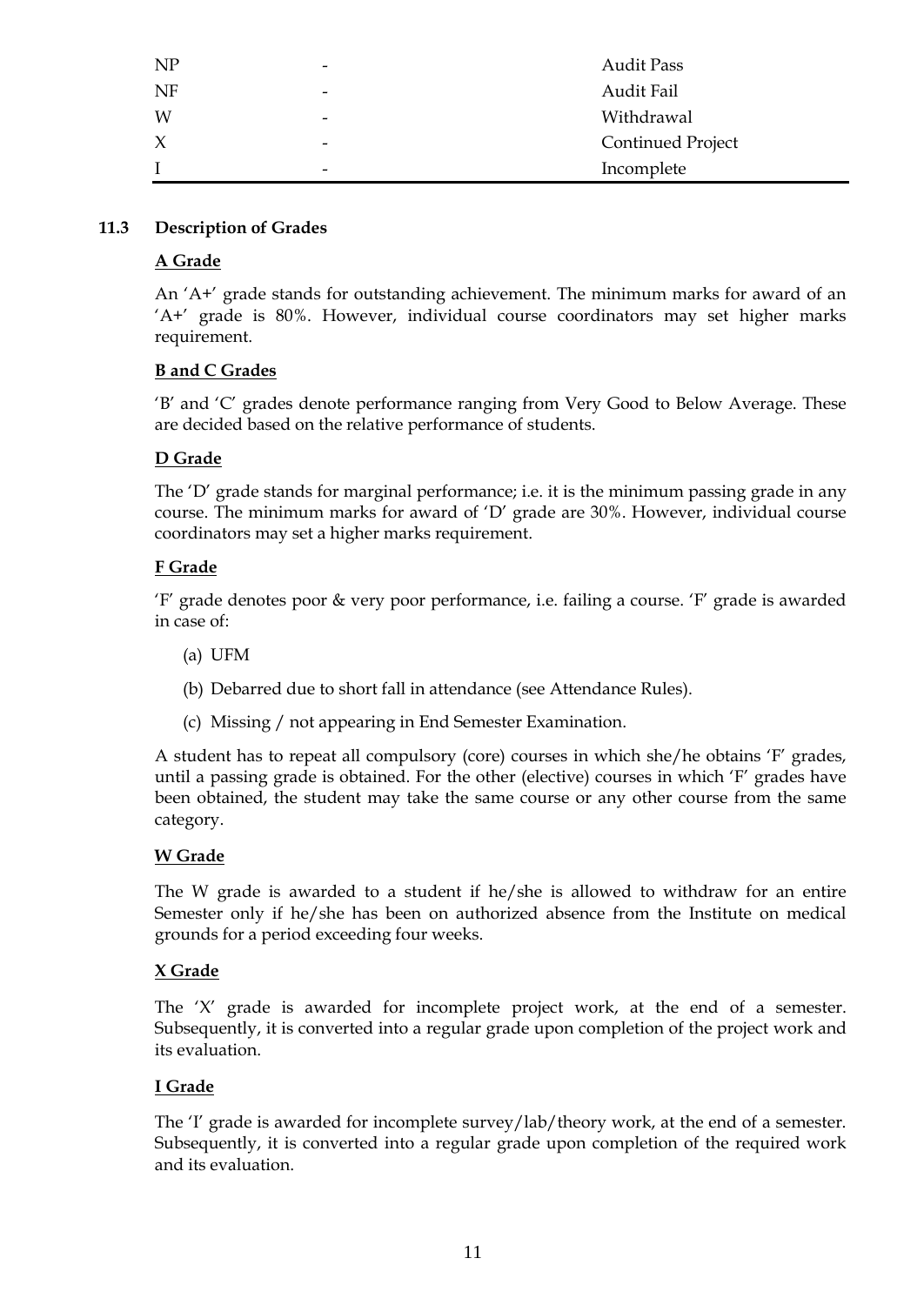| NP     | $\overline{\phantom{a}}$ | <b>Audit Pass</b>        |
|--------|--------------------------|--------------------------|
| NF     | $\overline{\phantom{a}}$ | Audit Fail               |
| W      | $\overline{\phantom{a}}$ | Withdrawal               |
| $\chi$ | -                        | <b>Continued Project</b> |
|        | $\overline{\phantom{a}}$ | Incomplete               |

### **11.3 Description of Grades**

# **A Grade**

An "A+" grade stands for outstanding achievement. The minimum marks for award of an "A+" grade is 80%. However, individual course coordinators may set higher marks requirement.

## **B and C Grades**

"B" and "C" grades denote performance ranging from Very Good to Below Average. These are decided based on the relative performance of students.

# **D Grade**

The "D" grade stands for marginal performance; i.e. it is the minimum passing grade in any course. The minimum marks for award of "D" grade are 30%. However, individual course coordinators may set a higher marks requirement.

## **F Grade**

"F" grade denotes poor & very poor performance, i.e. failing a course. "F" grade is awarded in case of:

- (a) UFM
- (b) Debarred due to short fall in attendance (see Attendance Rules).
- (c) Missing / not appearing in End Semester Examination.

A student has to repeat all compulsory (core) courses in which she/he obtains "F" grades, until a passing grade is obtained. For the other (elective) courses in which "F" grades have been obtained, the student may take the same course or any other course from the same category.

# **W Grade**

The W grade is awarded to a student if he/she is allowed to withdraw for an entire Semester only if he/she has been on authorized absence from the Institute on medical grounds for a period exceeding four weeks.

### **X Grade**

The 'X' grade is awarded for incomplete project work, at the end of a semester. Subsequently, it is converted into a regular grade upon completion of the project work and its evaluation.

### **I Grade**

The 'I' grade is awarded for incomplete survey/lab/theory work, at the end of a semester. Subsequently, it is converted into a regular grade upon completion of the required work and its evaluation.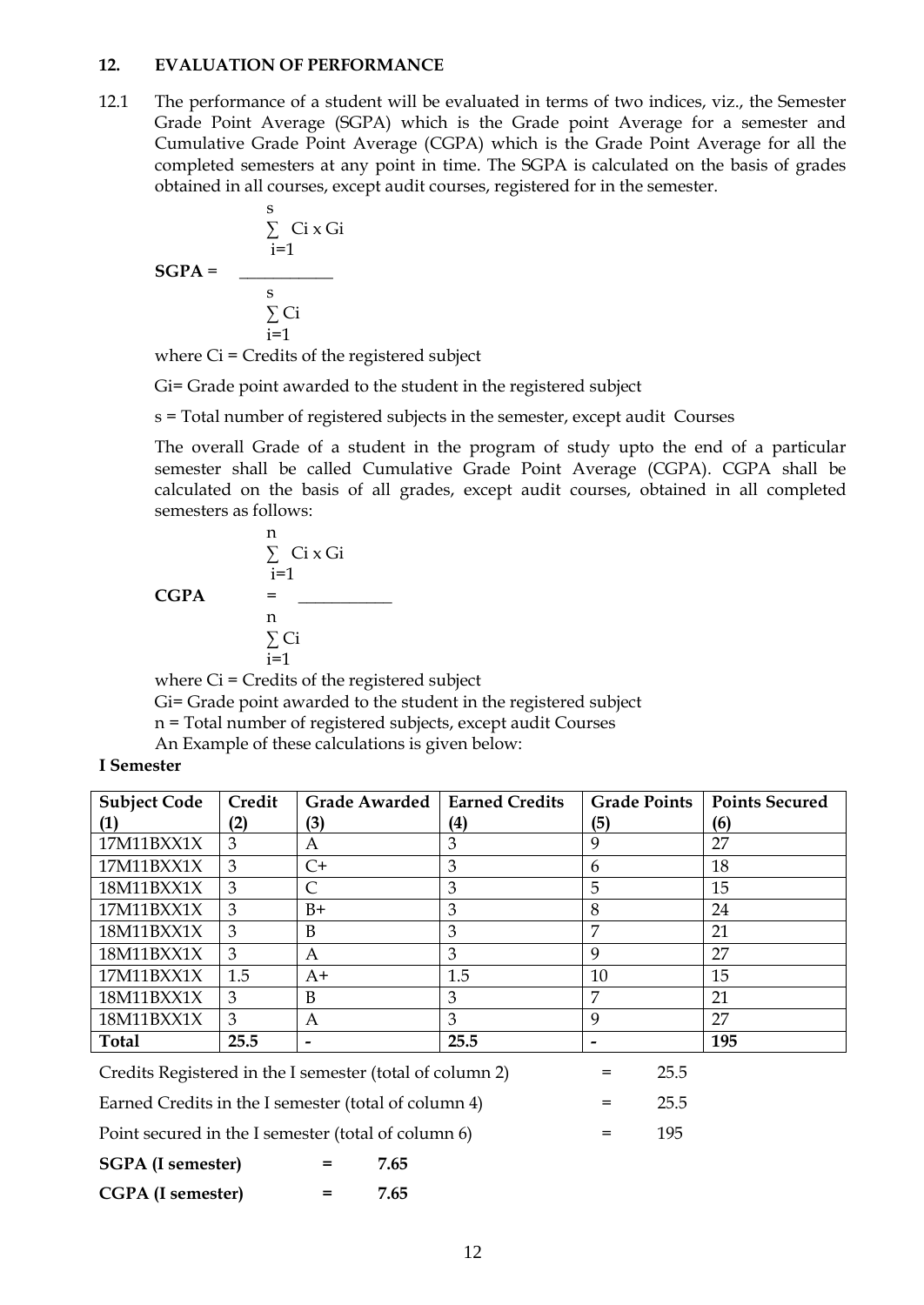#### **12. EVALUATION OF PERFORMANCE**

12.1 The performance of a student will be evaluated in terms of two indices, viz., the Semester Grade Point Average (SGPA) which is the Grade point Average for a semester and Cumulative Grade Point Average (CGPA) which is the Grade Point Average for all the completed semesters at any point in time. The SGPA is calculated on the basis of grades obtained in all courses, except audit courses, registered for in the semester.

$$
\begin{array}{r}\n \text{S}\n \text{Ci} \times \text{Gi}\n \text{S} \\
 \text{SGPA} = \overline{\qquad \qquad \text{S}\n \text{Ci}\n \text{F}} \\
 \text{S}\n \text{Ci}\n \text{F} \\
 \text{F} \\
 \text{F} \\
 \text{F} \\
 \text{F} \\
 \text{F} \\
 \text{F} \\
 \text{F} \\
 \text{F} \\
 \text{F} \\
 \text{F} \\
 \text{F} \\
 \text{F} \\
 \text{F} \\
 \text{F} \\
 \text{F} \\
 \text{F} \\
 \text{F} \\
 \text{F} \\
 \text{F} \\
 \text{F} \\
 \text{F} \\
 \text{F} \\
 \text{F} \\
 \text{F} \\
 \text{F} \\
 \text{F} \\
 \text{F} \\
 \text{F} \\
 \text{F} \\
 \text{F} \\
 \text{F} \\
 \text{F} \\
 \text{F} \\
 \text{F} \\
 \text{F} \\
 \text{F} \\
 \text{F} \\
 \text{F} \\
 \text{F} \\
 \text{F} \\
 \text{F} \\
 \text{F} \\
 \text{F} \\
 \text{F} \\
 \text{F} \\
 \text{F} \\
 \text{F} \\
 \text{F} \\
 \text{F} \\
 \text{F} \\
 \text{F} \\
 \text{F} \\
 \text{F} \\
 \text{F} \\
 \text{F} \\
 \text{F} \\
 \text{F} \\
 \text{F} \\
 \text{F} \\
 \text{F} \\
 \text{F} \\
 \text{F} \\
 \text{F} \\
 \text{F} \\
 \text{F} \\
 \text{F} \\
 \text{F} \\
 \text{F} \\
 \text{F} \\
 \text{F} \\
 \text{F} \\
 \text{F} \\
 \text{F} \\
 \text{F} \\
 \text{F} \\
 \text{F} \\
 \text{F} \\
 \text{F} \\
 \text{F} \\
 \text{F} \\
 \text{F} \\
 \text{F} \\
 \text{F} \\
 \text{F} \\
 \text{F} \\
 \text{F} \\
 \text{F} \\
 \text{F} \\
 \text{F} \\
 \text{F} \\
 \text{F} \\
 \text{F} \\
 \text{F} \\
 \text{F} \\
 \text{F} \\
 \text{F} \\
 \text{F} \\
 \text{F} \\
 \text{F} \\
 \text{F} \\
 \text{F} \\
 \text{F} \\
 \text{F} \\
 \text{F} \\
 \text{F} \\
 \text{F} \\
 \text{F} \\
 \text{F} \\
 \text{F} \\
 \text{F} \\
 \text{F} \\
 \text{F}
$$

where Ci = Credits of the registered subject

Gi= Grade point awarded to the student in the registered subject

s = Total number of registered subjects in the semester, except audit Courses

The overall Grade of a student in the program of study upto the end of a particular semester shall be called Cumulative Grade Point Average (CGPA). CGPA shall be calculated on the basis of all grades, except audit courses, obtained in all completed semesters as follows:

$$
\begin{array}{rcl}\n\text{n} & \sum\limits_{i=1}^{n} \text{Ci} \times \text{Gi} \\
\text{CGPA} & = & \underline{\hspace{2cm}} \\
\text{n} & \sum\limits_{i=1}^{n} \text{Ci}\n\end{array}
$$

where Ci = Credits of the registered subject

Gi= Grade point awarded to the student in the registered subject

n = Total number of registered subjects, except audit Courses

An Example of these calculations is given below:

**I Semester**

| <b>Subject Code</b> | Credit | <b>Grade Awarded</b>     | <b>Earned Credits</b> | <b>Grade Points</b> | <b>Points Secured</b> |
|---------------------|--------|--------------------------|-----------------------|---------------------|-----------------------|
|                     | (2)    | (3)                      | (4)                   | (5)                 | (6)                   |
| 17M11BXX1X          | 3      | A                        | 3                     | 9                   | 27                    |
| 17M11BXX1X          | 3      | $C+$                     | 3                     | 6                   | 18                    |
| 18M11BXX1X          | 3      | C                        | 3                     | 5                   | 15                    |
| 17M11BXX1X          | 3      | $B+$                     | 3                     | 8                   | 24                    |
| 18M11BXX1X          | 3      | B                        | 3                     | 7                   | 21                    |
| 18M11BXX1X          | 3      | A                        | 3                     | 9                   | 27                    |
| 17M11BXX1X          | 1.5    | $A+$                     | 1.5                   | 10                  | 15                    |
| 18M11BXX1X          | 3      | B                        | 3                     | 7                   | 21                    |
| 18M11BXX1X          | 3      | A                        | 3                     | 9                   | 27                    |
| <b>Total</b>        | 25.5   | $\overline{\phantom{0}}$ | 25.5                  |                     | 195                   |
|                     |        |                          |                       |                     |                       |

Credits Registered in the I semester (total of column 2) = 25.5

Earned Credits in the I semester (total of column 4) = 25.5

Point secured in the I semester (total of column  $6$ )  $=$  195

**SGPA (I semester) = 7.65 CGPA (I semester) = 7.65**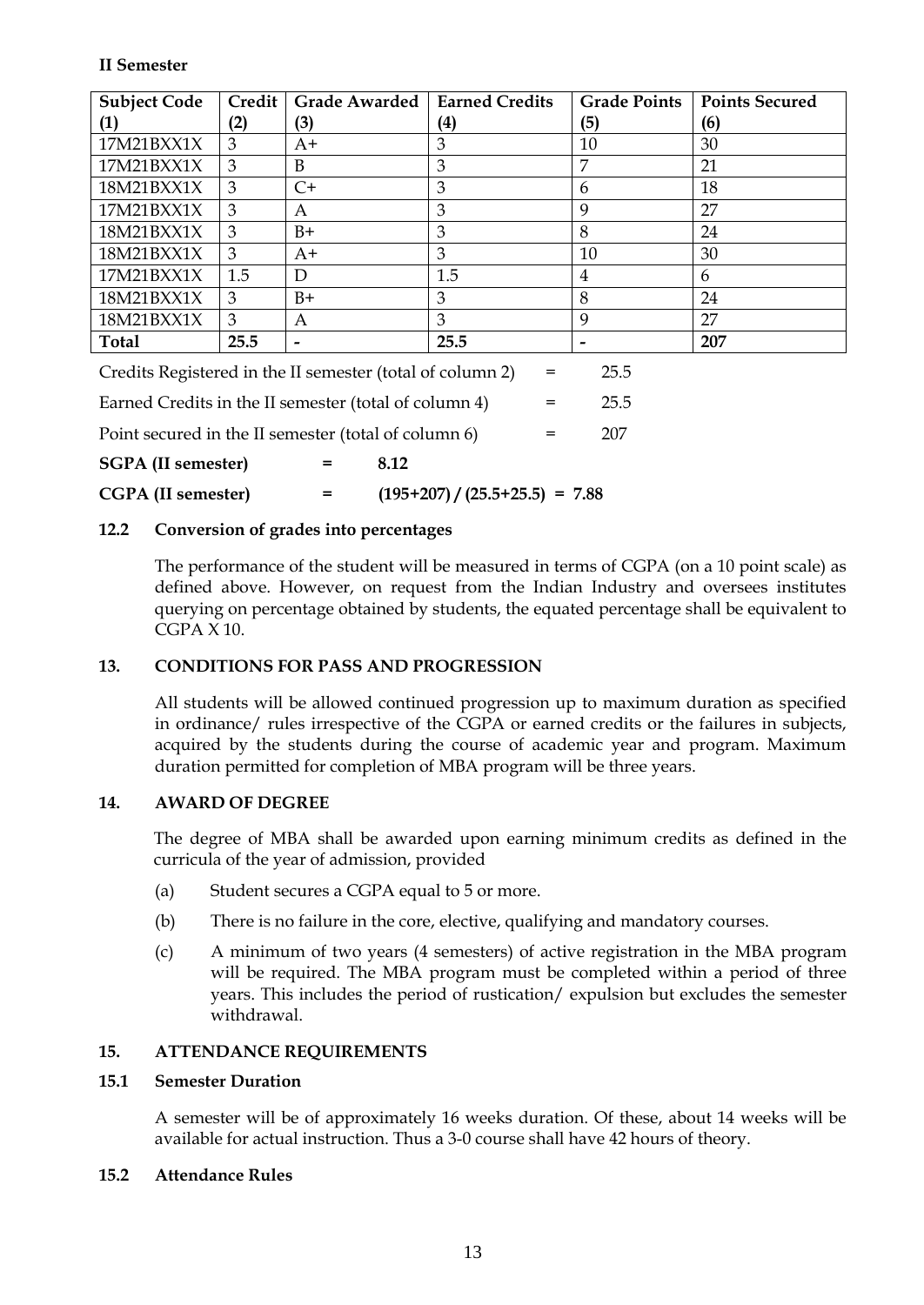### **II Semester**

| <b>Subject Code</b> | Credit | <b>Grade Awarded</b>     | <b>Earned Credits</b> | <b>Grade Points</b> | <b>Points Secured</b> |
|---------------------|--------|--------------------------|-----------------------|---------------------|-----------------------|
| $\bf{(1)}$          | (2)    | 3)                       | (4)                   | (5)                 | (6)                   |
| 17M21BXX1X          | 3      | $A+$                     | 3                     | 10                  | 30                    |
| 17M21BXX1X          | 3      | B                        | 3                     | 7                   | 21                    |
| 18M21BXX1X          | 3      | $C+$                     | 3                     | 6                   | 18                    |
| 17M21BXX1X          | 3      | A                        | 3                     | 9                   | 27                    |
| 18M21BXX1X          | 3      | $B+$                     | 3                     | 8                   | 24                    |
| 18M21BXX1X          | 3      | $A+$                     | 3                     | 10                  | 30                    |
| 17M21BXX1X          | 1.5    | D                        | 1.5                   | 4                   | 6                     |
| 18M21BXX1X          | 3      | $B+$                     | 3                     | 8                   | 24                    |
| 18M21BXX1X          | 3      | A                        | 3                     | 9                   | 27                    |
| <b>Total</b>        | 25.5   | $\overline{\phantom{a}}$ | 25.5                  |                     | 207                   |

Credits Registered in the II semester (total of column 2) = 25.5 Earned Credits in the II semester (total of column 4)  $=$  25.5 Point secured in the II semester (total of column 6) = 207

**SGPA (II semester) = 8.12 CGPA (II semester) = (195+207) / (25.5+25.5) = 7.88**

# **12.2 Conversion of grades into percentages**

The performance of the student will be measured in terms of CGPA (on a 10 point scale) as defined above. However, on request from the Indian Industry and oversees institutes querying on percentage obtained by students, the equated percentage shall be equivalent to CGPA X 10.

# **13. CONDITIONS FOR PASS AND PROGRESSION**

All students will be allowed continued progression up to maximum duration as specified in ordinance/ rules irrespective of the CGPA or earned credits or the failures in subjects, acquired by the students during the course of academic year and program. Maximum duration permitted for completion of MBA program will be three years.

# **14. AWARD OF DEGREE**

The degree of MBA shall be awarded upon earning minimum credits as defined in the curricula of the year of admission, provided

- (a) Student secures a CGPA equal to 5 or more.
- (b) There is no failure in the core, elective, qualifying and mandatory courses.
- (c) A minimum of two years (4 semesters) of active registration in the MBA program will be required. The MBA program must be completed within a period of three years. This includes the period of rustication/ expulsion but excludes the semester withdrawal.

# **15. ATTENDANCE REQUIREMENTS**

### **15.1 Semester Duration**

A semester will be of approximately 16 weeks duration. Of these, about 14 weeks will be available for actual instruction. Thus a 3-0 course shall have 42 hours of theory.

### **15.2 Attendance Rules**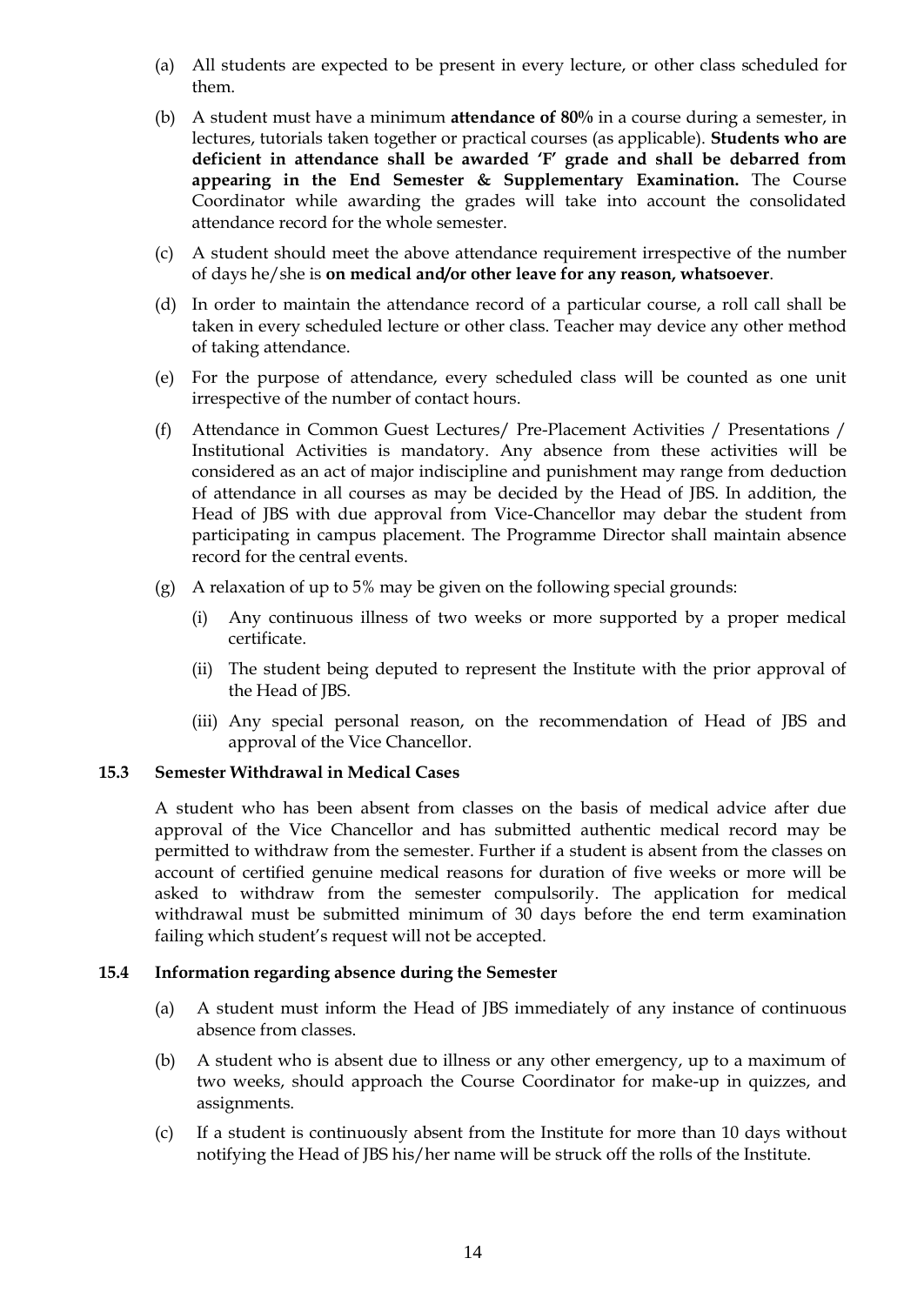- (a) All students are expected to be present in every lecture, or other class scheduled for them.
- (b) A student must have a minimum **attendance of 80%** in a course during a semester, in lectures, tutorials taken together or practical courses (as applicable). **Students who are deficient in attendance shall be awarded 'F' grade and shall be debarred from appearing in the End Semester & Supplementary Examination.** The Course Coordinator while awarding the grades will take into account the consolidated attendance record for the whole semester.
- (c) A student should meet the above attendance requirement irrespective of the number of days he/she is **on medical and/or other leave for any reason, whatsoever**.
- (d) In order to maintain the attendance record of a particular course, a roll call shall be taken in every scheduled lecture or other class. Teacher may device any other method of taking attendance.
- (e) For the purpose of attendance, every scheduled class will be counted as one unit irrespective of the number of contact hours.
- (f) Attendance in Common Guest Lectures/ Pre-Placement Activities / Presentations / Institutional Activities is mandatory. Any absence from these activities will be considered as an act of major indiscipline and punishment may range from deduction of attendance in all courses as may be decided by the Head of JBS. In addition, the Head of JBS with due approval from Vice-Chancellor may debar the student from participating in campus placement. The Programme Director shall maintain absence record for the central events.
- (g) A relaxation of up to 5% may be given on the following special grounds:
	- (i) Any continuous illness of two weeks or more supported by a proper medical certificate.
	- (ii) The student being deputed to represent the Institute with the prior approval of the Head of JBS.
	- (iii) Any special personal reason, on the recommendation of Head of JBS and approval of the Vice Chancellor.

### **15.3 Semester Withdrawal in Medical Cases**

A student who has been absent from classes on the basis of medical advice after due approval of the Vice Chancellor and has submitted authentic medical record may be permitted to withdraw from the semester. Further if a student is absent from the classes on account of certified genuine medical reasons for duration of five weeks or more will be asked to withdraw from the semester compulsorily. The application for medical withdrawal must be submitted minimum of 30 days before the end term examination failing which student"s request will not be accepted.

### **15.4 Information regarding absence during the Semester**

- (a) A student must inform the Head of JBS immediately of any instance of continuous absence from classes.
- (b) A student who is absent due to illness or any other emergency, up to a maximum of two weeks, should approach the Course Coordinator for make-up in quizzes, and assignments.
- (c) If a student is continuously absent from the Institute for more than 10 days without notifying the Head of JBS his/her name will be struck off the rolls of the Institute.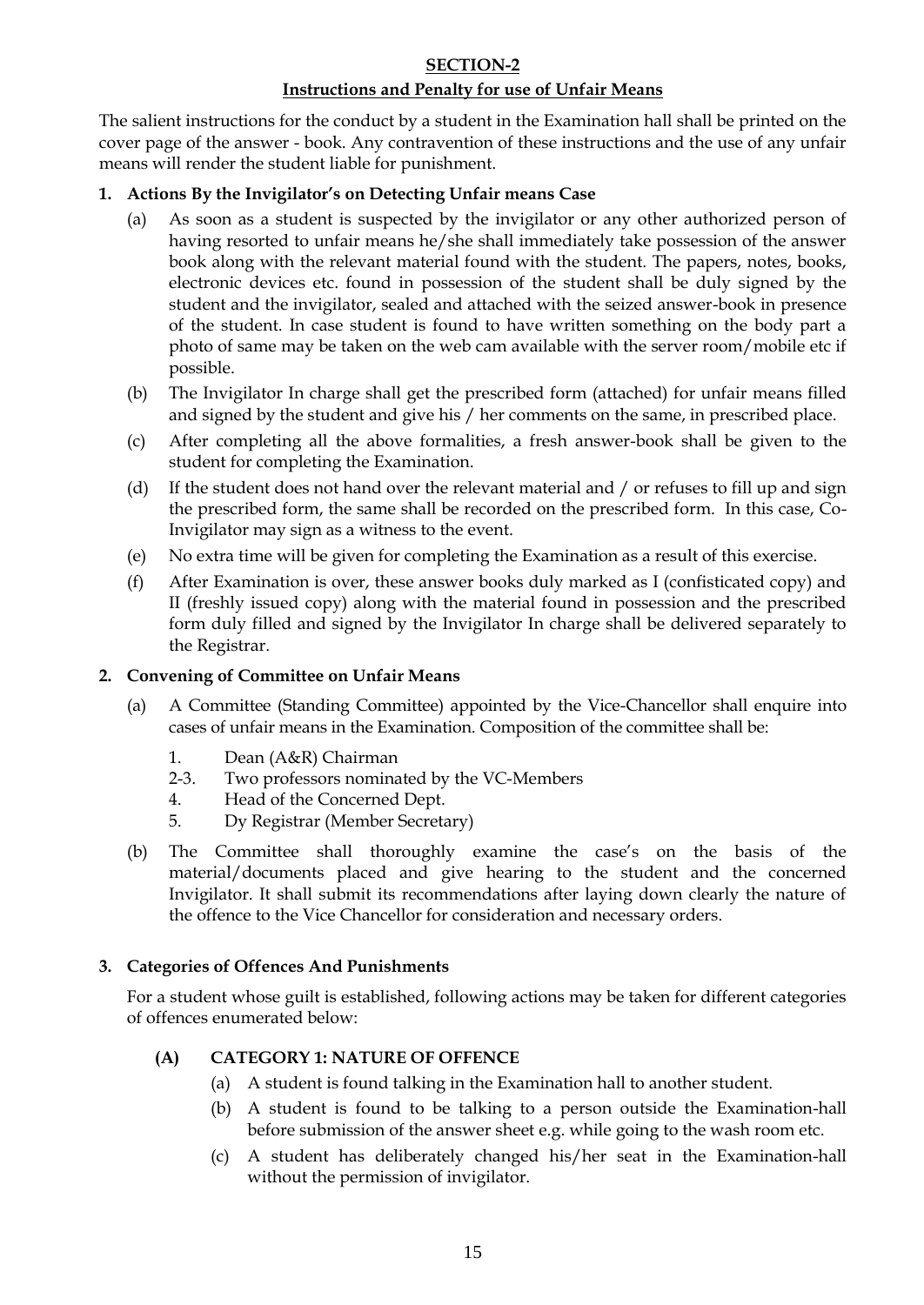## **SECTION-2**

# **Instructions and Penalty for use of Unfair Means**

The salient instructions for the conduct by a student in the Examination hall shall be printed on the cover page of the answer - book. Any contravention of these instructions and the use of any unfair means will render the student liable for punishment.

## **1. Actions By the Invigilator's on Detecting Unfair means Case**

- (a) As soon as a student is suspected by the invigilator or any other authorized person of having resorted to unfair means he/she shall immediately take possession of the answer book along with the relevant material found with the student. The papers, notes, books, electronic devices etc. found in possession of the student shall be duly signed by the student and the invigilator, sealed and attached with the seized answer-book in presence of the student. In case student is found to have written something on the body part a photo of same may be taken on the web cam available with the server room/mobile etc if possible.
- (b) The Invigilator In charge shall get the prescribed form (attached) for unfair means filled and signed by the student and give his / her comments on the same, in prescribed place.
- (c) After completing all the above formalities, a fresh answer-book shall be given to the student for completing the Examination.
- (d) If the student does not hand over the relevant material and / or refuses to fill up and sign the prescribed form, the same shall be recorded on the prescribed form. In this case, Co-Invigilator may sign as a witness to the event.
- (e) No extra time will be given for completing the Examination as a result of this exercise.
- (f) After Examination is over, these answer books duly marked as I (confisticated copy) and II (freshly issued copy) along with the material found in possession and the prescribed form duly filled and signed by the Invigilator In charge shall be delivered separately to the Registrar.

### **2. Convening of Committee on Unfair Means**

- (a) A Committee (Standing Committee) appointed by the Vice-Chancellor shall enquire into cases of unfair means in the Examination. Composition of the committee shall be:
	- 1. Dean (A&R) Chairman
	- 2-3. Two professors nominated by the VC-Members
	- 4. Head of the Concerned Dept.
	- 5. Dy Registrar (Member Secretary)
- (b) The Committee shall thoroughly examine the case's on the basis of the material/documents placed and give hearing to the student and the concerned Invigilator. It shall submit its recommendations after laying down clearly the nature of the offence to the Vice Chancellor for consideration and necessary orders.

### **3. Categories of Offences And Punishments**

For a student whose guilt is established, following actions may be taken for different categories of offences enumerated below:

# **(A) CATEGORY 1: NATURE OF OFFENCE**

- (a) A student is found talking in the Examination hall to another student.
- (b) A student is found to be talking to a person outside the Examination-hall before submission of the answer sheet e.g. while going to the wash room etc.
- (c) A student has deliberately changed his/her seat in the Examination-hall without the permission of invigilator.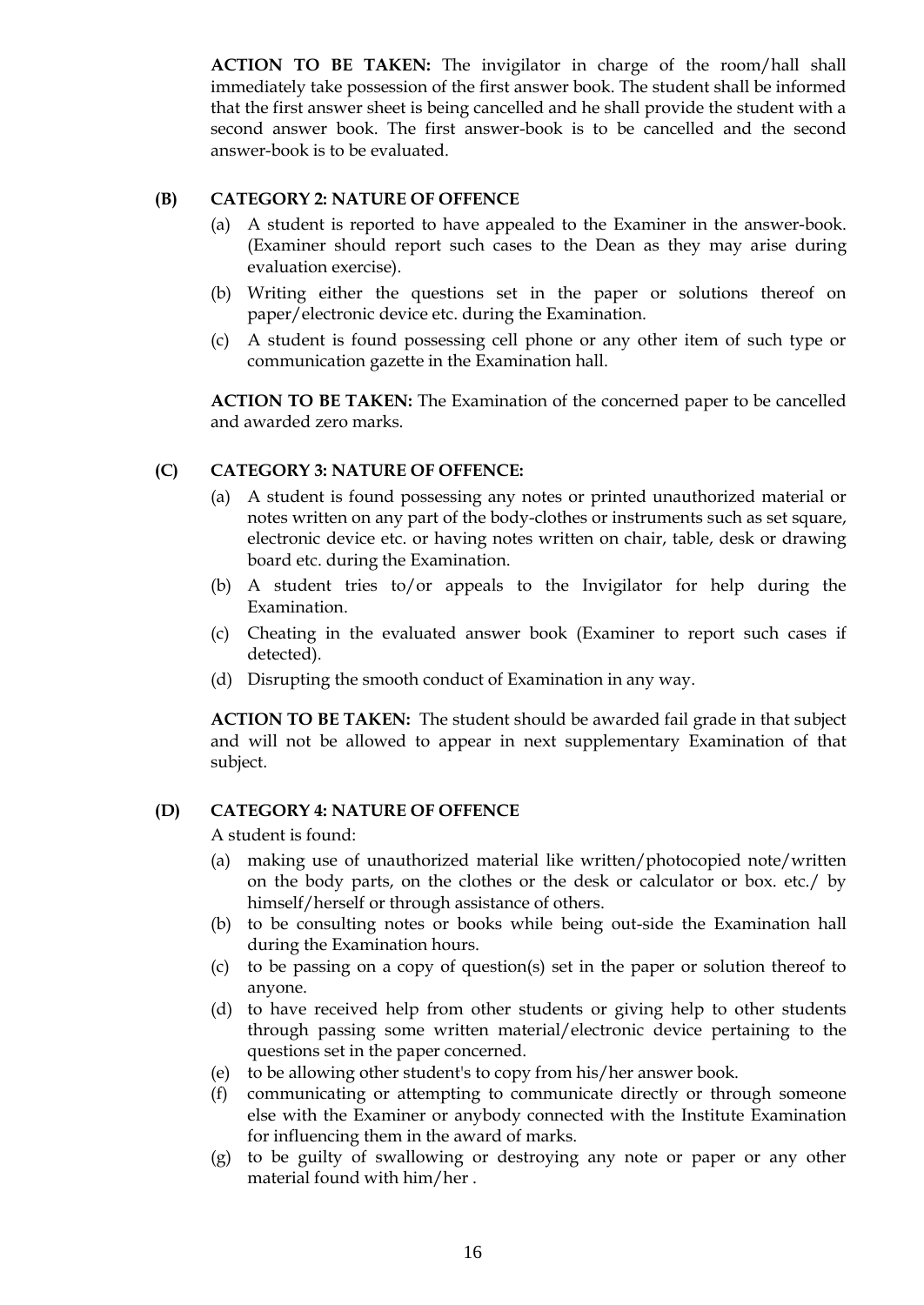**ACTION TO BE TAKEN:** The invigilator in charge of the room/hall shall immediately take possession of the first answer book. The student shall be informed that the first answer sheet is being cancelled and he shall provide the student with a second answer book. The first answer-book is to be cancelled and the second answer-book is to be evaluated.

#### **(B) CATEGORY 2: NATURE OF OFFENCE**

- (a) A student is reported to have appealed to the Examiner in the answer-book. (Examiner should report such cases to the Dean as they may arise during evaluation exercise).
- (b) Writing either the questions set in the paper or solutions thereof on paper/electronic device etc. during the Examination.
- (c) A student is found possessing cell phone or any other item of such type or communication gazette in the Examination hall.

**ACTION TO BE TAKEN:** The Examination of the concerned paper to be cancelled and awarded zero marks.

### **(C) CATEGORY 3: NATURE OF OFFENCE:**

- (a) A student is found possessing any notes or printed unauthorized material or notes written on any part of the body-clothes or instruments such as set square, electronic device etc. or having notes written on chair, table, desk or drawing board etc. during the Examination.
- (b) A student tries to/or appeals to the Invigilator for help during the Examination.
- (c) Cheating in the evaluated answer book (Examiner to report such cases if detected).
- (d) Disrupting the smooth conduct of Examination in any way.

**ACTION TO BE TAKEN:** The student should be awarded fail grade in that subject and will not be allowed to appear in next supplementary Examination of that subject.

# **(D) CATEGORY 4: NATURE OF OFFENCE**

A student is found:

- (a) making use of unauthorized material like written/photocopied note/written on the body parts, on the clothes or the desk or calculator or box. etc./ by himself/herself or through assistance of others.
- (b) to be consulting notes or books while being out-side the Examination hall during the Examination hours.
- (c) to be passing on a copy of question(s) set in the paper or solution thereof to anyone.
- (d) to have received help from other students or giving help to other students through passing some written material/electronic device pertaining to the questions set in the paper concerned.
- (e) to be allowing other student's to copy from his/her answer book.
- (f) communicating or attempting to communicate directly or through someone else with the Examiner or anybody connected with the Institute Examination for influencing them in the award of marks.
- (g) to be guilty of swallowing or destroying any note or paper or any other material found with him/her .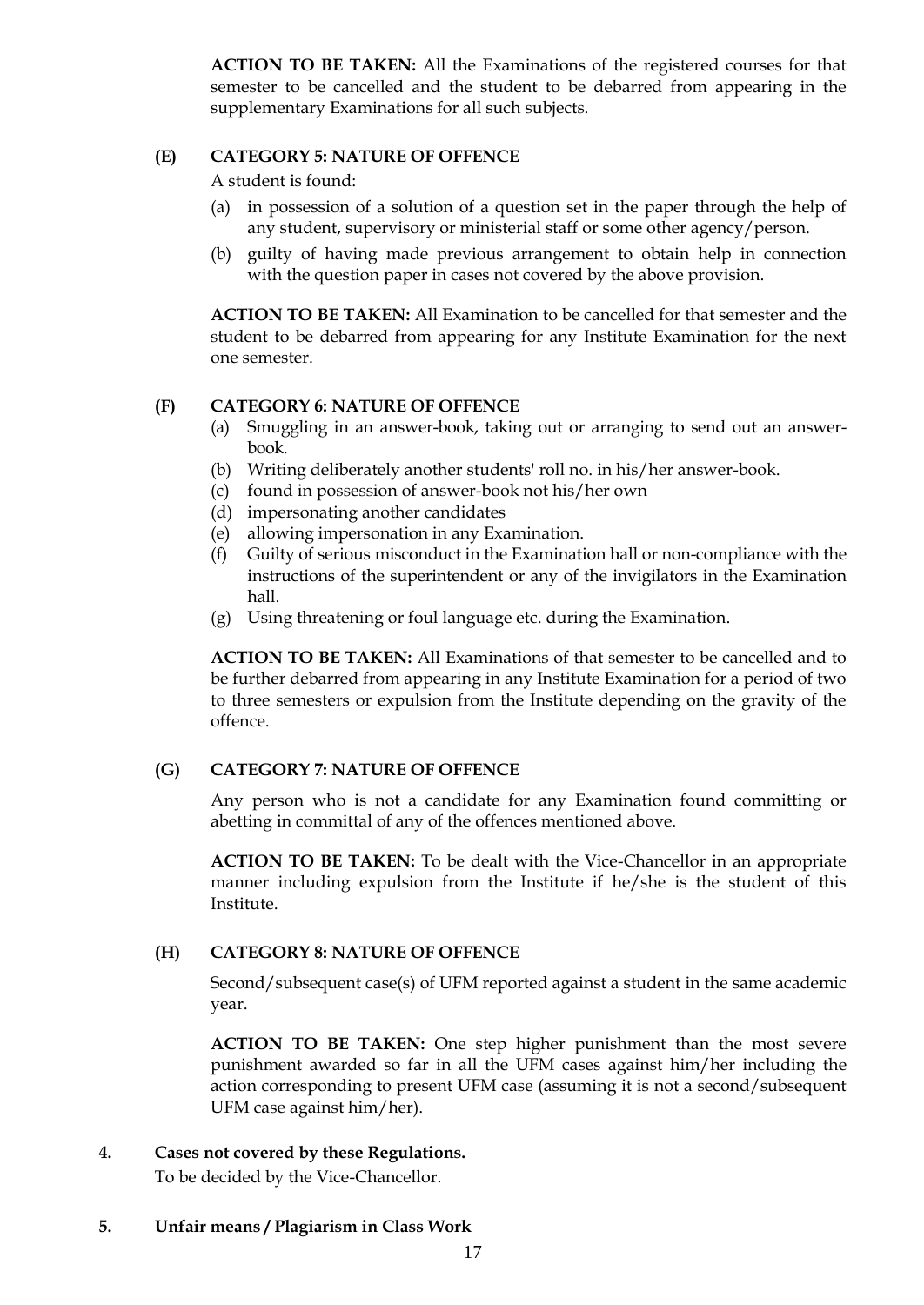**ACTION TO BE TAKEN:** All the Examinations of the registered courses for that semester to be cancelled and the student to be debarred from appearing in the supplementary Examinations for all such subjects.

### **(E) CATEGORY 5: NATURE OF OFFENCE**

A student is found:

- (a) in possession of a solution of a question set in the paper through the help of any student, supervisory or ministerial staff or some other agency/person.
- (b) guilty of having made previous arrangement to obtain help in connection with the question paper in cases not covered by the above provision.

**ACTION TO BE TAKEN:** All Examination to be cancelled for that semester and the student to be debarred from appearing for any Institute Examination for the next one semester.

### **(F) CATEGORY 6: NATURE OF OFFENCE**

- (a) Smuggling in an answer-book, taking out or arranging to send out an answerbook.
- (b) Writing deliberately another students' roll no. in his/her answer-book.
- (c) found in possession of answer-book not his/her own
- (d) impersonating another candidates
- (e) allowing impersonation in any Examination.
- (f) Guilty of serious misconduct in the Examination hall or non-compliance with the instructions of the superintendent or any of the invigilators in the Examination hall.
- (g) Using threatening or foul language etc. during the Examination.

**ACTION TO BE TAKEN:** All Examinations of that semester to be cancelled and to be further debarred from appearing in any Institute Examination for a period of two to three semesters or expulsion from the Institute depending on the gravity of the offence.

#### **(G) CATEGORY 7: NATURE OF OFFENCE**

Any person who is not a candidate for any Examination found committing or abetting in committal of any of the offences mentioned above.

**ACTION TO BE TAKEN:** To be dealt with the Vice-Chancellor in an appropriate manner including expulsion from the Institute if he/she is the student of this Institute.

#### **(H) CATEGORY 8: NATURE OF OFFENCE**

Second/subsequent case(s) of UFM reported against a student in the same academic year.

**ACTION TO BE TAKEN:** One step higher punishment than the most severe punishment awarded so far in all the UFM cases against him/her including the action corresponding to present UFM case (assuming it is not a second/subsequent UFM case against him/her).

### **4. Cases not covered by these Regulations.**

To be decided by the Vice-Chancellor.

### **5. Unfair means / Plagiarism in Class Work**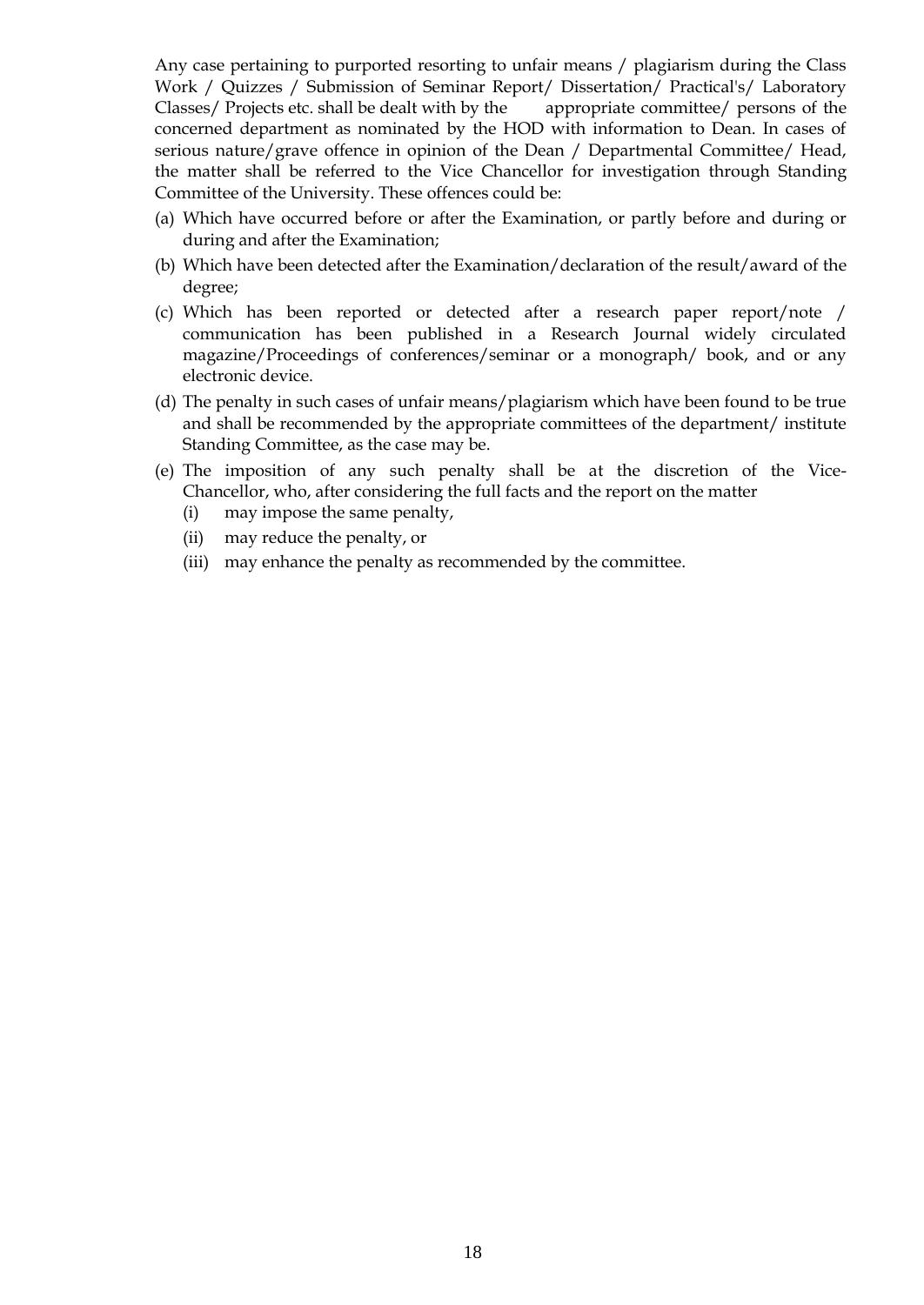Any case pertaining to purported resorting to unfair means / plagiarism during the Class Work / Quizzes / Submission of Seminar Report/ Dissertation/ Practical's/ Laboratory Classes/ Projects etc. shall be dealt with by the appropriate committee/ persons of the concerned department as nominated by the HOD with information to Dean. In cases of serious nature/grave offence in opinion of the Dean / Departmental Committee/ Head, the matter shall be referred to the Vice Chancellor for investigation through Standing Committee of the University. These offences could be:

- (a) Which have occurred before or after the Examination, or partly before and during or during and after the Examination;
- (b) Which have been detected after the Examination/declaration of the result/award of the degree;
- (c) Which has been reported or detected after a research paper report/note / communication has been published in a Research Journal widely circulated magazine/Proceedings of conferences/seminar or a monograph/ book, and or any electronic device.
- (d) The penalty in such cases of unfair means/plagiarism which have been found to be true and shall be recommended by the appropriate committees of the department/ institute Standing Committee, as the case may be.
- (e) The imposition of any such penalty shall be at the discretion of the Vice-Chancellor, who, after considering the full facts and the report on the matter
	- (i) may impose the same penalty,
	- (ii) may reduce the penalty, or
	- (iii) may enhance the penalty as recommended by the committee.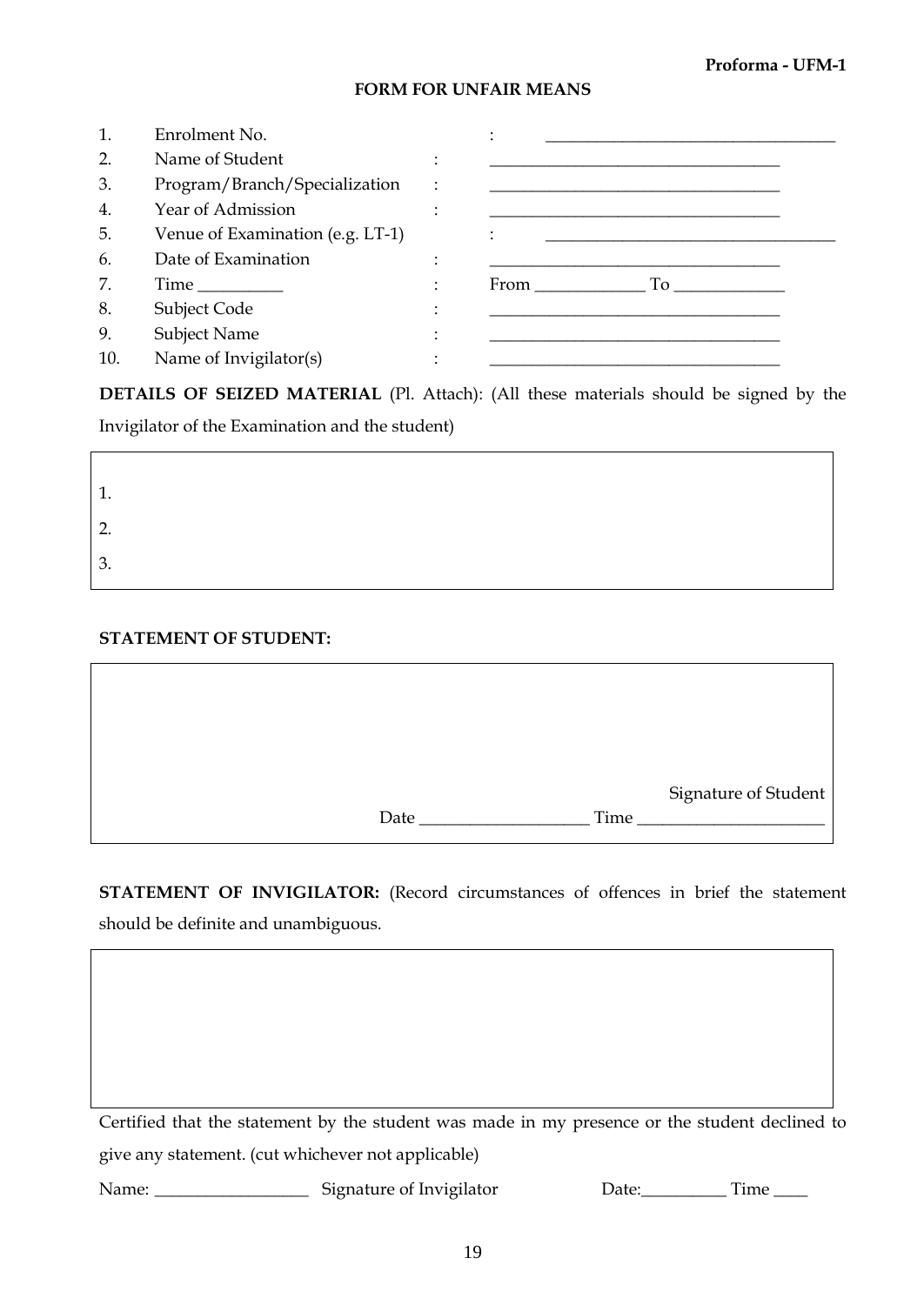#### **Proforma - UFM-1**

┑

#### **FORM FOR UNFAIR MEANS**

|                  | Enrolment No.                    |                                                                                                                                                                                                                                        |
|------------------|----------------------------------|----------------------------------------------------------------------------------------------------------------------------------------------------------------------------------------------------------------------------------------|
| $\overline{2}$ . | Name of Student                  |                                                                                                                                                                                                                                        |
| 3.               | Program/Branch/Specialization    |                                                                                                                                                                                                                                        |
| 4.               | Year of Admission                |                                                                                                                                                                                                                                        |
| 5.               | Venue of Examination (e.g. LT-1) |                                                                                                                                                                                                                                        |
| 6.               | Date of Examination              |                                                                                                                                                                                                                                        |
| 7.               |                                  | From<br>To the state of the state of the state of the state of the state of the state of the state of the state of the state of the state of the state of the state of the state of the state of the state of the state of the state o |
| 8.               | Subject Code                     |                                                                                                                                                                                                                                        |
| 9.               | Subject Name                     |                                                                                                                                                                                                                                        |
| 10.              | Name of Invigilator(s)           |                                                                                                                                                                                                                                        |

**DETAILS OF SEIZED MATERIAL** (Pl. Attach): (All these materials should be signed by the

Invigilator of the Examination and the student)

| $\overline{\phantom{a}}$<br>Ι. |  |
|--------------------------------|--|
| ി<br><u>.</u>                  |  |
| 3.                             |  |

### **STATEMENT OF STUDENT:**

 $\Gamma$ 

|      |      | Signature of Student |
|------|------|----------------------|
| Date | Time |                      |

**STATEMENT OF INVIGILATOR:** (Record circumstances of offences in brief the statement should be definite and unambiguous.

Certified that the statement by the student was made in my presence or the student declined to give any statement. (cut whichever not applicable)

Name: \_\_\_\_\_\_\_\_\_\_\_\_\_\_\_\_\_\_\_\_\_\_ Signature of Invigilator Date: \_\_\_\_\_\_\_\_\_\_\_\_ Time \_\_\_\_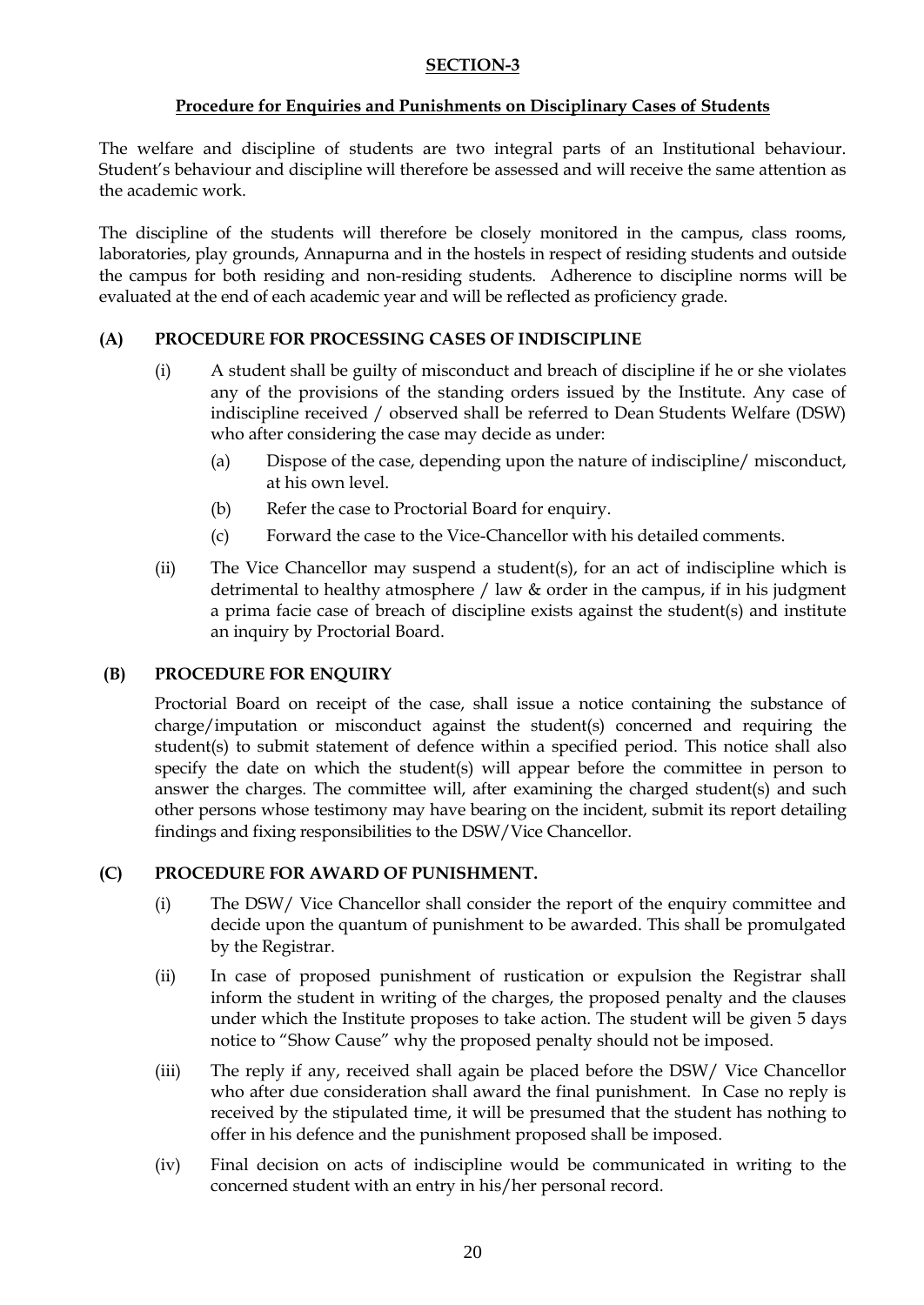### **SECTION-3**

## **Procedure for Enquiries and Punishments on Disciplinary Cases of Students**

The welfare and discipline of students are two integral parts of an Institutional behaviour. Student"s behaviour and discipline will therefore be assessed and will receive the same attention as the academic work.

The discipline of the students will therefore be closely monitored in the campus, class rooms, laboratories, play grounds, Annapurna and in the hostels in respect of residing students and outside the campus for both residing and non-residing students. Adherence to discipline norms will be evaluated at the end of each academic year and will be reflected as proficiency grade.

## **(A) PROCEDURE FOR PROCESSING CASES OF INDISCIPLINE**

- (i) A student shall be guilty of misconduct and breach of discipline if he or she violates any of the provisions of the standing orders issued by the Institute. Any case of indiscipline received / observed shall be referred to Dean Students Welfare (DSW) who after considering the case may decide as under:
	- (a) Dispose of the case, depending upon the nature of indiscipline/ misconduct, at his own level.
	- (b) Refer the case to Proctorial Board for enquiry.
	- (c) Forward the case to the Vice-Chancellor with his detailed comments.
- (ii) The Vice Chancellor may suspend a student(s), for an act of indiscipline which is detrimental to healthy atmosphere / law & order in the campus, if in his judgment a prima facie case of breach of discipline exists against the student(s) and institute an inquiry by Proctorial Board.

### **(B) PROCEDURE FOR ENQUIRY**

Proctorial Board on receipt of the case, shall issue a notice containing the substance of charge/imputation or misconduct against the student(s) concerned and requiring the student(s) to submit statement of defence within a specified period. This notice shall also specify the date on which the student(s) will appear before the committee in person to answer the charges. The committee will, after examining the charged student(s) and such other persons whose testimony may have bearing on the incident, submit its report detailing findings and fixing responsibilities to the DSW/Vice Chancellor.

### **(C) PROCEDURE FOR AWARD OF PUNISHMENT.**

- (i) The DSW/ Vice Chancellor shall consider the report of the enquiry committee and decide upon the quantum of punishment to be awarded. This shall be promulgated by the Registrar.
- (ii) In case of proposed punishment of rustication or expulsion the Registrar shall inform the student in writing of the charges, the proposed penalty and the clauses under which the Institute proposes to take action. The student will be given 5 days notice to "Show Cause" why the proposed penalty should not be imposed.
- (iii) The reply if any, received shall again be placed before the DSW/ Vice Chancellor who after due consideration shall award the final punishment. In Case no reply is received by the stipulated time, it will be presumed that the student has nothing to offer in his defence and the punishment proposed shall be imposed.
- (iv) Final decision on acts of indiscipline would be communicated in writing to the concerned student with an entry in his/her personal record.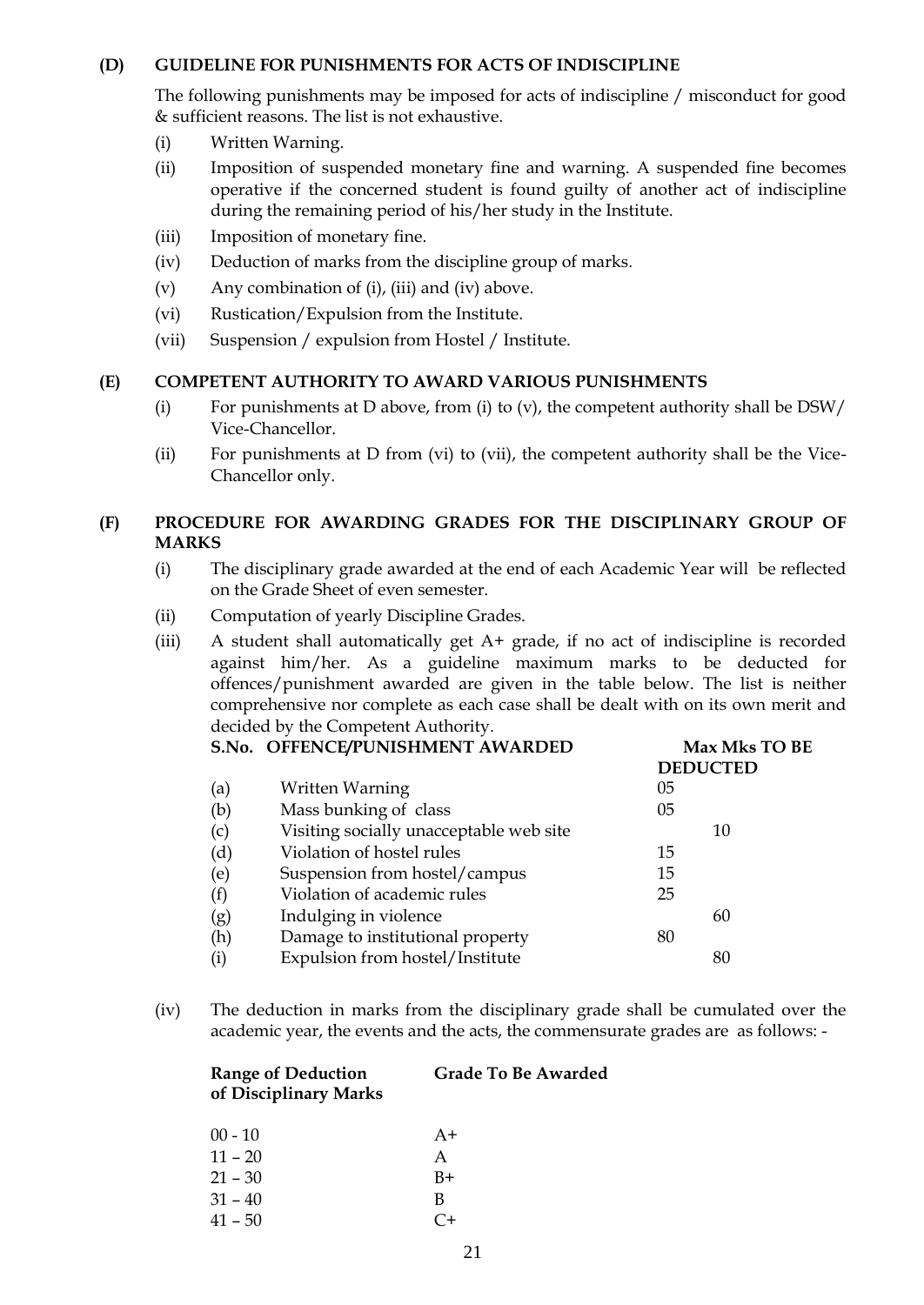### **(D) GUIDELINE FOR PUNISHMENTS FOR ACTS OF INDISCIPLINE**

The following punishments may be imposed for acts of indiscipline / misconduct for good & sufficient reasons. The list is not exhaustive.

- (i) Written Warning.
- (ii) Imposition of suspended monetary fine and warning. A suspended fine becomes operative if the concerned student is found guilty of another act of indiscipline during the remaining period of his/her study in the Institute.
- (iii) Imposition of monetary fine.
- (iv) Deduction of marks from the discipline group of marks.
- (v) Any combination of (i), (iii) and (iv) above.
- (vi) Rustication/Expulsion from the Institute.
- (vii) Suspension / expulsion from Hostel / Institute.

## **(E) COMPETENT AUTHORITY TO AWARD VARIOUS PUNISHMENTS**

- (i) For punishments at D above, from (i) to (v), the competent authority shall be  $DSW/$ Vice-Chancellor.
- (ii) For punishments at D from (vi) to (vii), the competent authority shall be the Vice-Chancellor only.

# **(F) PROCEDURE FOR AWARDING GRADES FOR THE DISCIPLINARY GROUP OF MARKS**

- (i) The disciplinary grade awarded at the end of each Academic Year will be reflected on the Grade Sheet of even semester.
- (ii) Computation of yearly Discipline Grades.

(iii) A student shall automatically get A+ grade, if no act of indiscipline is recorded against him/her. As a guideline maximum marks to be deducted for offences/punishment awarded are given in the table below. The list is neither comprehensive nor complete as each case shall be dealt with on its own merit and decided by the Competent Authority.

|     | S.No. OFFENCE/PUNISHMENT AWARDED        | Max Mks TO BE   |
|-----|-----------------------------------------|-----------------|
|     |                                         | <b>DEDUCTED</b> |
| (a) | Written Warning                         | 05              |
| (b) | Mass bunking of class                   | 05              |
| (c) | Visiting socially unacceptable web site | 10              |
| (d) | Violation of hostel rules               | 15              |
| (e) | Suspension from hostel/campus           | 15              |
| (f) | Violation of academic rules             | 25              |
| (g) | Indulging in violence                   | 60              |
| (h) | Damage to institutional property        | 80              |
| (i) | Expulsion from hostel/Institute         | 80              |
|     |                                         |                 |

(iv) The deduction in marks from the disciplinary grade shall be cumulated over the academic year, the events and the acts, the commensurate grades are as follows: -

| <b>Range of Deduction</b> | <b>Grade To Be Awarded</b> |
|---------------------------|----------------------------|
| of Disciplinary Marks     |                            |

| $00 - 10$ | $A+$      |
|-----------|-----------|
| $11 - 20$ | A         |
| $21 - 30$ | $B+$      |
| $31 - 40$ | B         |
| 41 – 50   | $C_{\pm}$ |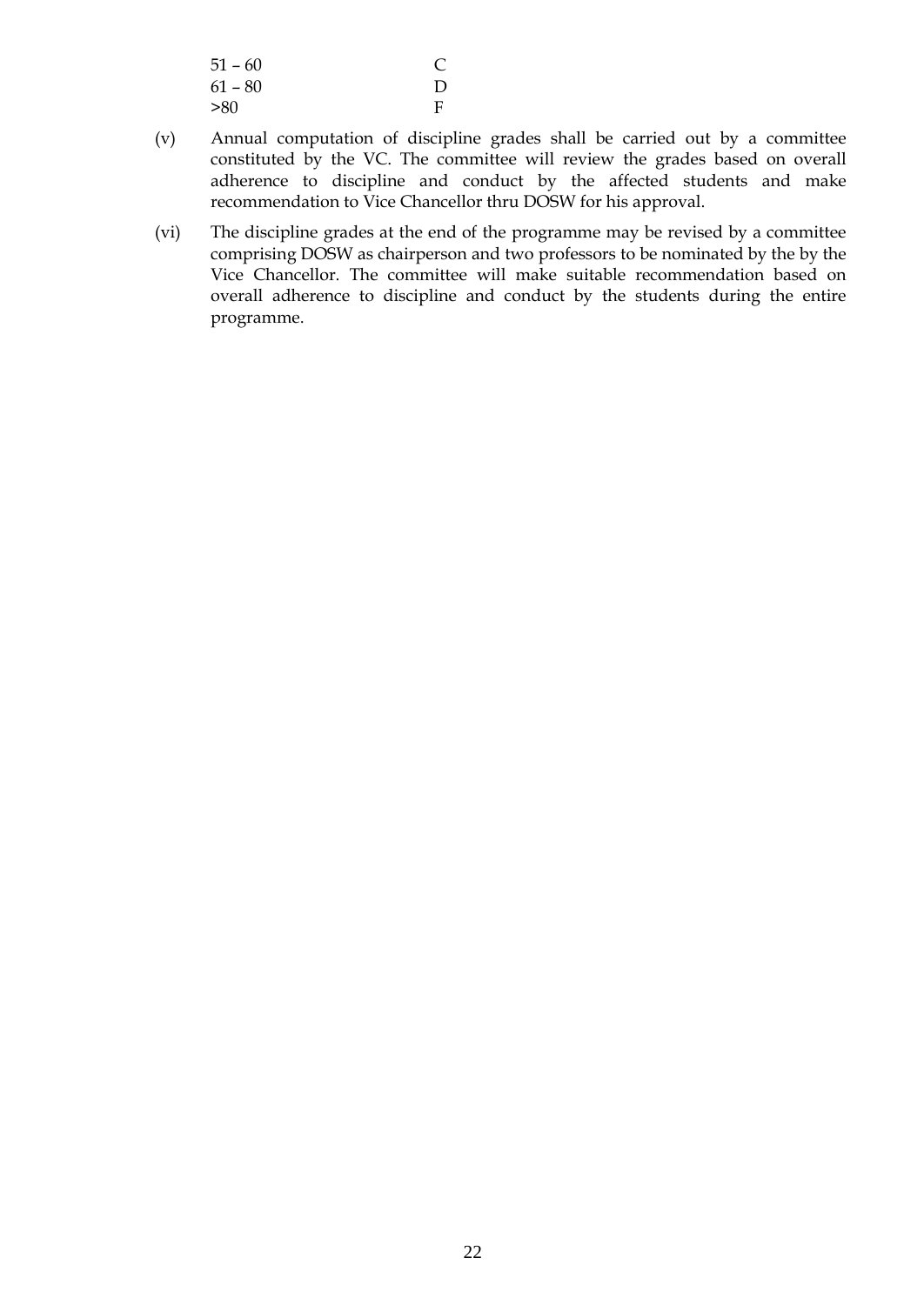| $51 - 60$ |   |
|-----------|---|
| $61 - 80$ | D |
| >80       | F |

- (v) Annual computation of discipline grades shall be carried out by a committee constituted by the VC. The committee will review the grades based on overall adherence to discipline and conduct by the affected students and make recommendation to Vice Chancellor thru DOSW for his approval.
- (vi) The discipline grades at the end of the programme may be revised by a committee comprising DOSW as chairperson and two professors to be nominated by the by the Vice Chancellor. The committee will make suitable recommendation based on overall adherence to discipline and conduct by the students during the entire programme.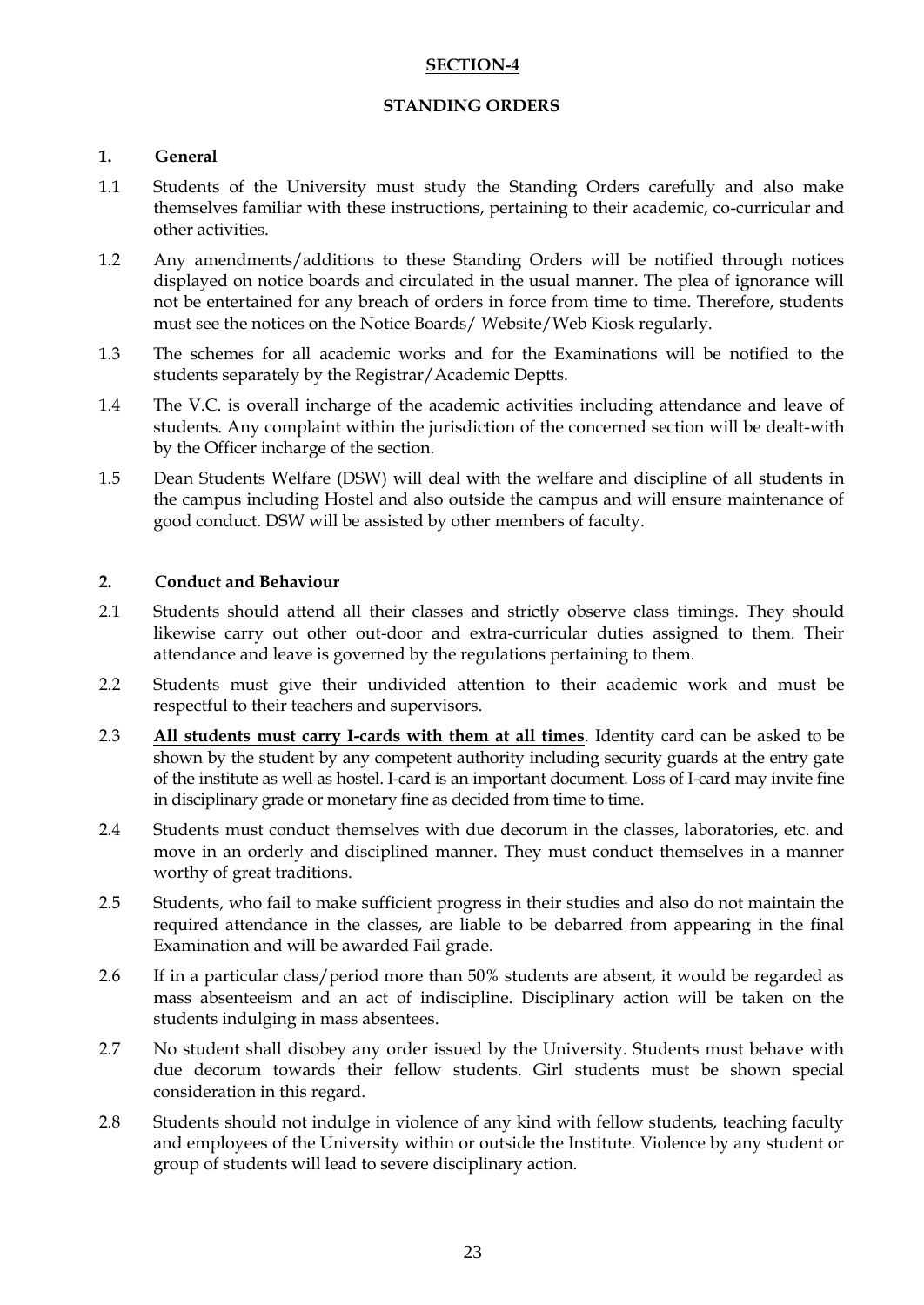### **SECTION-4**

### **STANDING ORDERS**

## **1. General**

- 1.1 Students of the University must study the Standing Orders carefully and also make themselves familiar with these instructions, pertaining to their academic, co-curricular and other activities.
- 1.2 Any amendments/additions to these Standing Orders will be notified through notices displayed on notice boards and circulated in the usual manner. The plea of ignorance will not be entertained for any breach of orders in force from time to time. Therefore, students must see the notices on the Notice Boards/ Website/Web Kiosk regularly.
- 1.3 The schemes for all academic works and for the Examinations will be notified to the students separately by the Registrar/Academic Deptts.
- 1.4 The V.C. is overall incharge of the academic activities including attendance and leave of students. Any complaint within the jurisdiction of the concerned section will be dealt-with by the Officer incharge of the section.
- 1.5 Dean Students Welfare (DSW) will deal with the welfare and discipline of all students in the campus including Hostel and also outside the campus and will ensure maintenance of good conduct. DSW will be assisted by other members of faculty.

## **2. Conduct and Behaviour**

- 2.1 Students should attend all their classes and strictly observe class timings. They should likewise carry out other out-door and extra-curricular duties assigned to them. Their attendance and leave is governed by the regulations pertaining to them.
- 2.2 Students must give their undivided attention to their academic work and must be respectful to their teachers and supervisors.
- 2.3 **All students must carry I-cards with them at all times**. Identity card can be asked to be shown by the student by any competent authority including security guards at the entry gate of the institute as well as hostel. I-card is an important document. Loss of I-card may invite fine in disciplinary grade or monetary fine as decided from time to time.
- 2.4 Students must conduct themselves with due decorum in the classes, laboratories, etc. and move in an orderly and disciplined manner. They must conduct themselves in a manner worthy of great traditions.
- 2.5 Students, who fail to make sufficient progress in their studies and also do not maintain the required attendance in the classes, are liable to be debarred from appearing in the final Examination and will be awarded Fail grade.
- 2.6 If in a particular class/period more than 50% students are absent, it would be regarded as mass absenteeism and an act of indiscipline. Disciplinary action will be taken on the students indulging in mass absentees.
- 2.7 No student shall disobey any order issued by the University. Students must behave with due decorum towards their fellow students. Girl students must be shown special consideration in this regard.
- 2.8 Students should not indulge in violence of any kind with fellow students, teaching faculty and employees of the University within or outside the Institute. Violence by any student or group of students will lead to severe disciplinary action.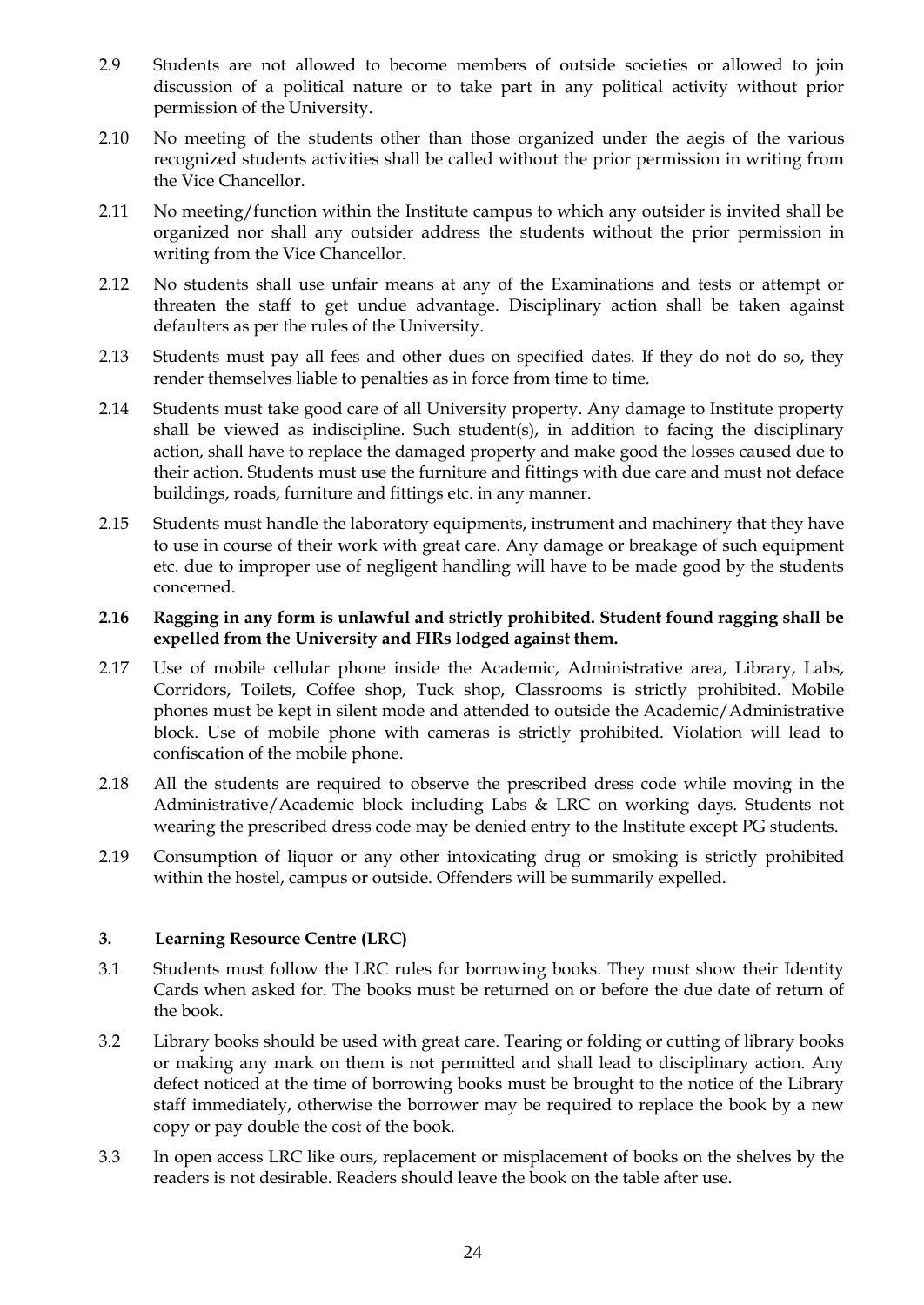- 2.9 Students are not allowed to become members of outside societies or allowed to join discussion of a political nature or to take part in any political activity without prior permission of the University.
- 2.10 No meeting of the students other than those organized under the aegis of the various recognized students activities shall be called without the prior permission in writing from the Vice Chancellor.
- 2.11 No meeting/function within the Institute campus to which any outsider is invited shall be organized nor shall any outsider address the students without the prior permission in writing from the Vice Chancellor.
- 2.12 No students shall use unfair means at any of the Examinations and tests or attempt or threaten the staff to get undue advantage. Disciplinary action shall be taken against defaulters as per the rules of the University.
- 2.13 Students must pay all fees and other dues on specified dates. If they do not do so, they render themselves liable to penalties as in force from time to time.
- 2.14 Students must take good care of all University property. Any damage to Institute property shall be viewed as indiscipline. Such student(s), in addition to facing the disciplinary action, shall have to replace the damaged property and make good the losses caused due to their action. Students must use the furniture and fittings with due care and must not deface buildings, roads, furniture and fittings etc. in any manner.
- 2.15 Students must handle the laboratory equipments, instrument and machinery that they have to use in course of their work with great care. Any damage or breakage of such equipment etc. due to improper use of negligent handling will have to be made good by the students concerned.

### **2.16 Ragging in any form is unlawful and strictly prohibited. Student found ragging shall be expelled from the University and FIRs lodged against them.**

- 2.17 Use of mobile cellular phone inside the Academic, Administrative area, Library, Labs, Corridors, Toilets, Coffee shop, Tuck shop, Classrooms is strictly prohibited. Mobile phones must be kept in silent mode and attended to outside the Academic/Administrative block. Use of mobile phone with cameras is strictly prohibited. Violation will lead to confiscation of the mobile phone.
- 2.18 All the students are required to observe the prescribed dress code while moving in the Administrative/Academic block including Labs & LRC on working days. Students not wearing the prescribed dress code may be denied entry to the Institute except PG students.
- 2.19 Consumption of liquor or any other intoxicating drug or smoking is strictly prohibited within the hostel, campus or outside. Offenders will be summarily expelled.

### **3. Learning Resource Centre (LRC)**

- 3.1 Students must follow the LRC rules for borrowing books. They must show their Identity Cards when asked for. The books must be returned on or before the due date of return of the book.
- 3.2 Library books should be used with great care. Tearing or folding or cutting of library books or making any mark on them is not permitted and shall lead to disciplinary action. Any defect noticed at the time of borrowing books must be brought to the notice of the Library staff immediately, otherwise the borrower may be required to replace the book by a new copy or pay double the cost of the book.
- 3.3 In open access LRC like ours, replacement or misplacement of books on the shelves by the readers is not desirable. Readers should leave the book on the table after use.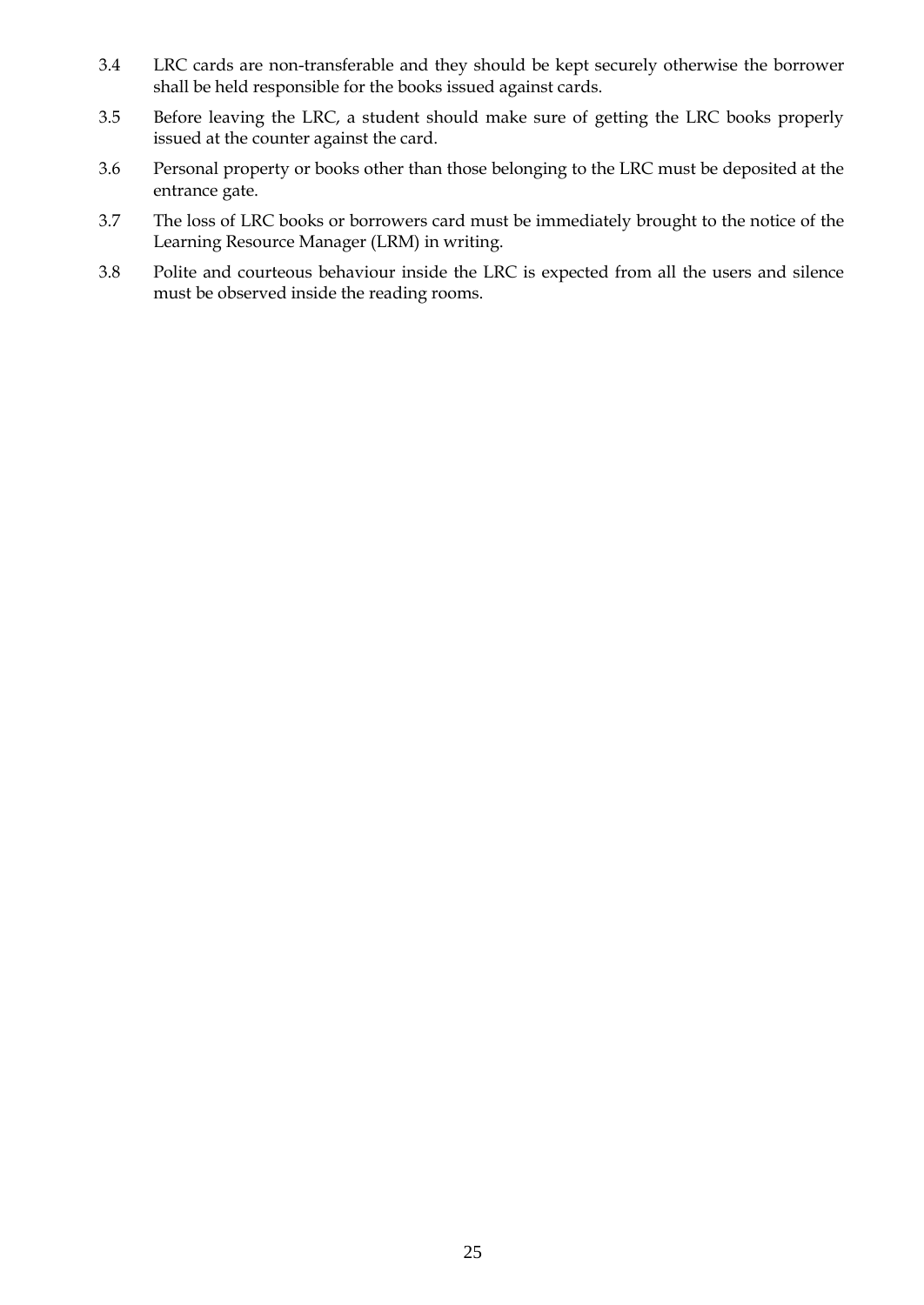- 3.4 LRC cards are non-transferable and they should be kept securely otherwise the borrower shall be held responsible for the books issued against cards.
- 3.5 Before leaving the LRC, a student should make sure of getting the LRC books properly issued at the counter against the card.
- 3.6 Personal property or books other than those belonging to the LRC must be deposited at the entrance gate.
- 3.7 The loss of LRC books or borrowers card must be immediately brought to the notice of the Learning Resource Manager (LRM) in writing.
- 3.8 Polite and courteous behaviour inside the LRC is expected from all the users and silence must be observed inside the reading rooms.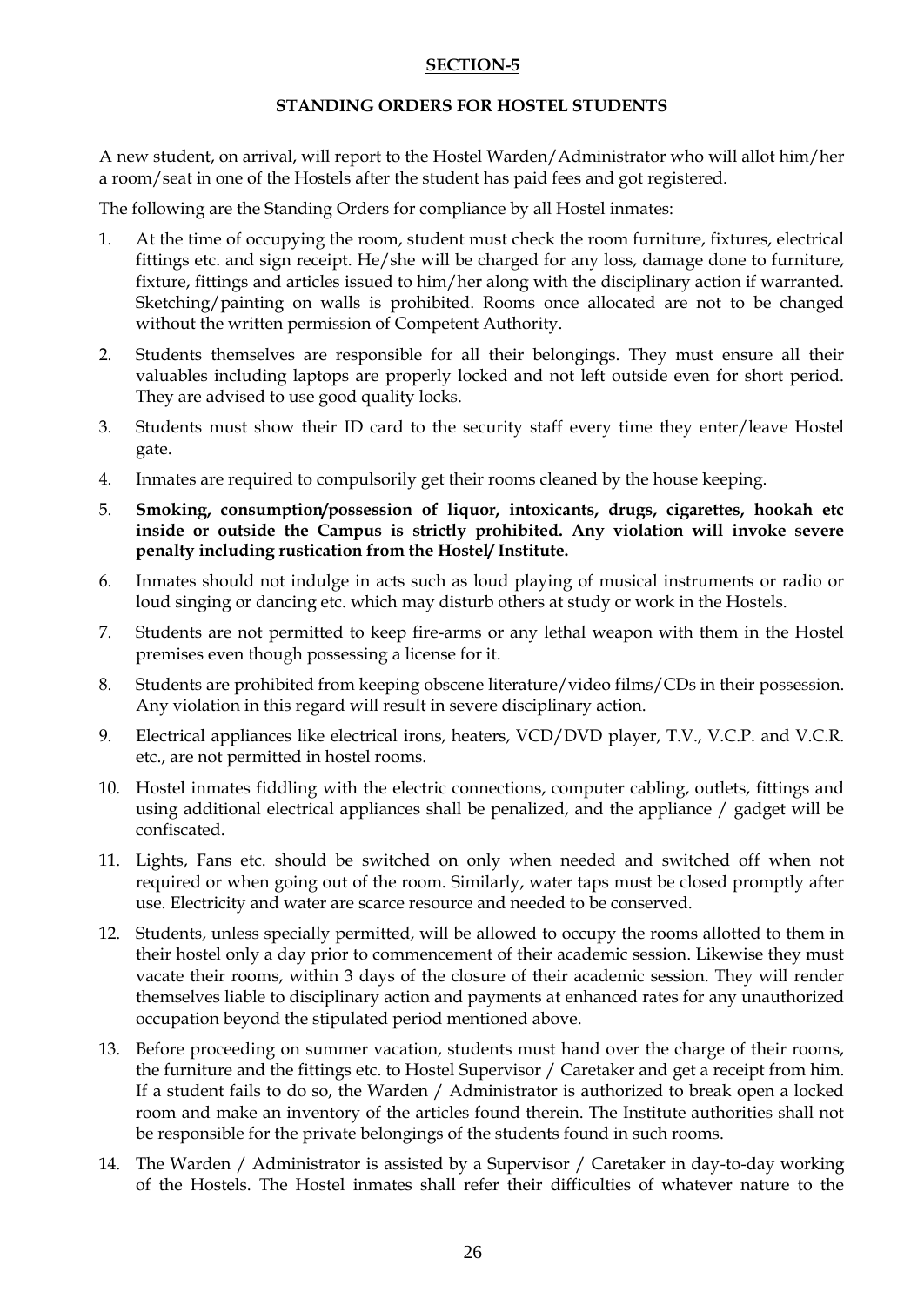### **SECTION-5**

### **STANDING ORDERS FOR HOSTEL STUDENTS**

A new student, on arrival, will report to the Hostel Warden/Administrator who will allot him/her a room/seat in one of the Hostels after the student has paid fees and got registered.

The following are the Standing Orders for compliance by all Hostel inmates:

- 1. At the time of occupying the room, student must check the room furniture, fixtures, electrical fittings etc. and sign receipt. He/she will be charged for any loss, damage done to furniture, fixture, fittings and articles issued to him/her along with the disciplinary action if warranted. Sketching/painting on walls is prohibited. Rooms once allocated are not to be changed without the written permission of Competent Authority.
- 2. Students themselves are responsible for all their belongings. They must ensure all their valuables including laptops are properly locked and not left outside even for short period. They are advised to use good quality locks.
- 3. Students must show their ID card to the security staff every time they enter/leave Hostel gate.
- 4. Inmates are required to compulsorily get their rooms cleaned by the house keeping.
- 5. **Smoking, consumption/possession of liquor, intoxicants, drugs, cigarettes, hookah etc inside or outside the Campus is strictly prohibited. Any violation will invoke severe penalty including rustication from the Hostel/ Institute.**
- 6. Inmates should not indulge in acts such as loud playing of musical instruments or radio or loud singing or dancing etc. which may disturb others at study or work in the Hostels.
- 7. Students are not permitted to keep fire-arms or any lethal weapon with them in the Hostel premises even though possessing a license for it.
- 8. Students are prohibited from keeping obscene literature/video films/CDs in their possession. Any violation in this regard will result in severe disciplinary action.
- 9. Electrical appliances like electrical irons, heaters, VCD/DVD player, T.V., V.C.P. and V.C.R. etc., are not permitted in hostel rooms.
- 10. Hostel inmates fiddling with the electric connections, computer cabling, outlets, fittings and using additional electrical appliances shall be penalized, and the appliance / gadget will be confiscated.
- 11. Lights, Fans etc. should be switched on only when needed and switched off when not required or when going out of the room. Similarly, water taps must be closed promptly after use. Electricity and water are scarce resource and needed to be conserved.
- 12. Students, unless specially permitted, will be allowed to occupy the rooms allotted to them in their hostel only a day prior to commencement of their academic session. Likewise they must vacate their rooms, within 3 days of the closure of their academic session. They will render themselves liable to disciplinary action and payments at enhanced rates for any unauthorized occupation beyond the stipulated period mentioned above.
- 13. Before proceeding on summer vacation, students must hand over the charge of their rooms, the furniture and the fittings etc. to Hostel Supervisor / Caretaker and get a receipt from him. If a student fails to do so, the Warden / Administrator is authorized to break open a locked room and make an inventory of the articles found therein. The Institute authorities shall not be responsible for the private belongings of the students found in such rooms.
- 14. The Warden / Administrator is assisted by a Supervisor / Caretaker in day-to-day working of the Hostels. The Hostel inmates shall refer their difficulties of whatever nature to the